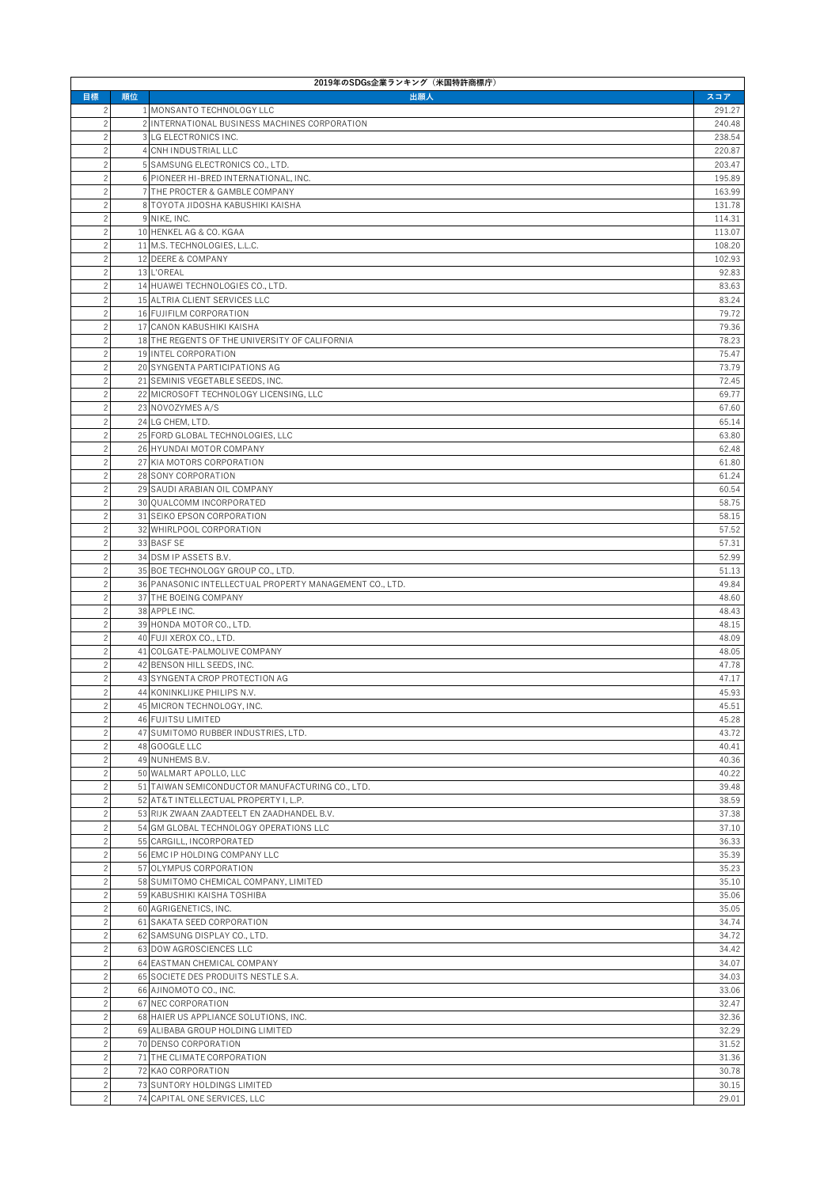| 2019年のSDGs企業ランキング (米国特許商標庁)      |    |                                                                           |                  |  |
|----------------------------------|----|---------------------------------------------------------------------------|------------------|--|
| 目標                               | 順位 | 出願人                                                                       | スコア              |  |
| $\overline{c}$                   |    | 1 MONSANTO TECHNOLOGY LLC                                                 | 291.27           |  |
| $\overline{c}$<br>$\overline{c}$ |    | 2 INTERNATIONAL BUSINESS MACHINES CORPORATION<br>3 LG ELECTRONICS INC.    | 240.48<br>238.54 |  |
| $\overline{c}$                   |    | 4 CNH INDUSTRIAL LLC                                                      | 220.87           |  |
| $\overline{c}$                   |    | 5 SAMSUNG ELECTRONICS CO., LTD.                                           | 203.47           |  |
| $\overline{c}$                   |    | 6 PIONEER HI-BRED INTERNATIONAL, INC.                                     | 195.89           |  |
| $\overline{c}$                   |    | 7 THE PROCTER & GAMBLE COMPANY                                            | 163.99           |  |
| $\overline{c}$                   |    | 8 TOYOTA JIDOSHA KABUSHIKI KAISHA                                         | 131.78           |  |
| $\overline{c}$                   |    | 9 NIKE, INC.                                                              | 114.31           |  |
| $\overline{c}$<br>$\overline{c}$ |    | 10 HENKEL AG & CO. KGAA<br>11 M.S. TECHNOLOGIES, L.L.C.                   | 113.07           |  |
| $\overline{c}$                   |    | 12 DEERE & COMPANY                                                        | 108.20<br>102.93 |  |
| $\overline{c}$                   |    | 13 L'OREAL                                                                | 92.83            |  |
| $\overline{c}$                   |    | 14 HUAWEI TECHNOLOGIES CO., LTD.                                          | 83.63            |  |
| $\overline{c}$                   |    | 15 ALTRIA CLIENT SERVICES LLC                                             | 83.24            |  |
| $\overline{c}$                   |    | 16 FUJIFILM CORPORATION                                                   | 79.72            |  |
| $\overline{c}$                   |    | 17 CANON KABUSHIKI KAISHA                                                 | 79.36            |  |
| $\overline{c}$                   |    | 18 THE REGENTS OF THE UNIVERSITY OF CALIFORNIA                            | 78.23            |  |
| $\overline{c}$                   |    | 19 INTEL CORPORATION                                                      | 75.47            |  |
| $\overline{c}$<br>$\overline{c}$ |    | 20 SYNGENTA PARTICIPATIONS AG<br>21 SEMINIS VEGETABLE SEEDS, INC.         | 73.79<br>72.45   |  |
| $\overline{c}$                   |    | 22 MICROSOFT TECHNOLOGY LICENSING, LLC                                    | 69.77            |  |
| $\overline{c}$                   |    | 23 NOVOZYMES A/S                                                          | 67.60            |  |
| $\overline{c}$                   |    | 24 LG CHEM, LTD.                                                          | 65.14            |  |
| $\overline{c}$                   |    | 25 FORD GLOBAL TECHNOLOGIES, LLC                                          | 63.80            |  |
| $\overline{c}$                   |    | 26 HYUNDAI MOTOR COMPANY                                                  | 62.48            |  |
| $\overline{c}$                   |    | 27 KIA MOTORS CORPORATION                                                 | 61.80            |  |
| $\overline{c}$                   |    | 28 SONY CORPORATION                                                       | 61.24            |  |
| $\overline{c}$                   |    | 29 SAUDI ARABIAN OIL COMPANY                                              | 60.54            |  |
| $\overline{c}$<br>$\overline{c}$ |    | 30 QUALCOMM INCORPORATED<br>31 SEIKO EPSON CORPORATION                    | 58.75<br>58.15   |  |
| $\overline{c}$                   |    | 32 WHIRLPOOL CORPORATION                                                  | 57.52            |  |
| $\overline{c}$                   |    | 33 BASF SE                                                                | 57.31            |  |
| $\overline{c}$                   |    | 34 DSM IP ASSETS B.V.                                                     | 52.99            |  |
| $\overline{c}$                   |    | 35 BOE TECHNOLOGY GROUP CO., LTD.                                         | 51.13            |  |
| $\overline{c}$                   |    | 36 PANASONIC INTELLECTUAL PROPERTY MANAGEMENT CO., LTD.                   | 49.84            |  |
| $\overline{c}$                   |    | 37 THE BOEING COMPANY                                                     | 48.60            |  |
| $\overline{c}$                   |    | 38 APPLE INC.                                                             | 48.43            |  |
| $\overline{c}$<br>$\overline{c}$ |    | 39 HONDA MOTOR CO., LTD.<br>40 FUJI XEROX CO., LTD.                       | 48.15<br>48.09   |  |
| $\overline{c}$                   |    | 41 COLGATE-PALMOLIVE COMPANY                                              | 48.05            |  |
| $\overline{c}$                   |    | 42 BENSON HILL SEEDS, INC.                                                | 47.78            |  |
| $\overline{c}$                   |    | 43 SYNGENTA CROP PROTECTION AG                                            | 47.17            |  |
| $\overline{c}$                   |    | 44 KONINKLIJKE PHILIPS N.V.                                               | 45.93            |  |
| $\overline{c}$                   |    | 45 MICRON TECHNOLOGY, INC.                                                | 45.51            |  |
| $\overline{c}$                   |    | 46 FUJITSU LIMITED                                                        | 45.28            |  |
| $\overline{c}$                   |    | 47 SUMITOMO RUBBER INDUSTRIES, LTD.                                       | 43.72            |  |
| $\overline{c}$<br>$\overline{c}$ |    | 48 GOOGLE LLC<br>49 NUNHEMS B.V.                                          | 40.41<br>40.36   |  |
| $\overline{c}$                   |    | 50 WALMART APOLLO, LLC                                                    | 40.22            |  |
| $\overline{c}$                   |    | 51 TAIWAN SEMICONDUCTOR MANUFACTURING CO., LTD.                           | 39.48            |  |
| $\overline{c}$                   |    | 52 AT&T INTELLECTUAL PROPERTY I, L.P.                                     | 38.59            |  |
| $\overline{c}$                   |    | 53 RIJK ZWAAN ZAADTEELT EN ZAADHANDEL B.V.                                | 37.38            |  |
| $\overline{c}$                   |    | 54 GM GLOBAL TECHNOLOGY OPERATIONS LLC                                    | 37.10            |  |
| $\overline{c}$                   |    | 55 CARGILL, INCORPORATED                                                  | 36.33            |  |
| $\overline{c}$                   |    | 56 EMC IP HOLDING COMPANY LLC                                             | 35.39            |  |
| $\overline{c}$                   |    | 57 OLYMPUS CORPORATION                                                    | 35.23            |  |
| $\overline{c}$<br>$\overline{c}$ |    | 58 SUMITOMO CHEMICAL COMPANY, LIMITED<br>59 KABUSHIKI KAISHA TOSHIBA      | 35.10<br>35.06   |  |
| $\overline{c}$                   |    | 60 AGRIGENETICS, INC.                                                     | 35.05            |  |
| $\overline{c}$                   |    | 61 SAKATA SEED CORPORATION                                                | 34.74            |  |
| $\overline{c}$                   |    | 62 SAMSUNG DISPLAY CO., LTD.                                              | 34.72            |  |
| $\overline{c}$                   |    | 63 DOW AGROSCIENCES LLC                                                   | 34.42            |  |
| $\overline{c}$                   |    | 64 EASTMAN CHEMICAL COMPANY                                               | 34.07            |  |
| $\overline{c}$                   |    | 65 SOCIETE DES PRODUITS NESTLE S.A.                                       | 34.03            |  |
| $\overline{c}$                   |    | 66 AJINOMOTO CO., INC.                                                    | 33.06            |  |
| $\overline{c}$                   |    | 67 NEC CORPORATION                                                        | 32.47            |  |
| $\overline{c}$<br>$\overline{c}$ |    | 68 HAIER US APPLIANCE SOLUTIONS, INC.<br>69 ALIBABA GROUP HOLDING LIMITED | 32.36<br>32.29   |  |
| $\overline{c}$                   |    | 70 DENSO CORPORATION                                                      | 31.52            |  |
| $\overline{c}$                   |    | 71 THE CLIMATE CORPORATION                                                | 31.36            |  |
| $\overline{c}$                   |    | 72 KAO CORPORATION                                                        | 30.78            |  |
| $\overline{c}$                   |    | 73 SUNTORY HOLDINGS LIMITED                                               | 30.15            |  |
| $\overline{c}$                   |    | 74 CAPITAL ONE SERVICES, LLC                                              | 29.01            |  |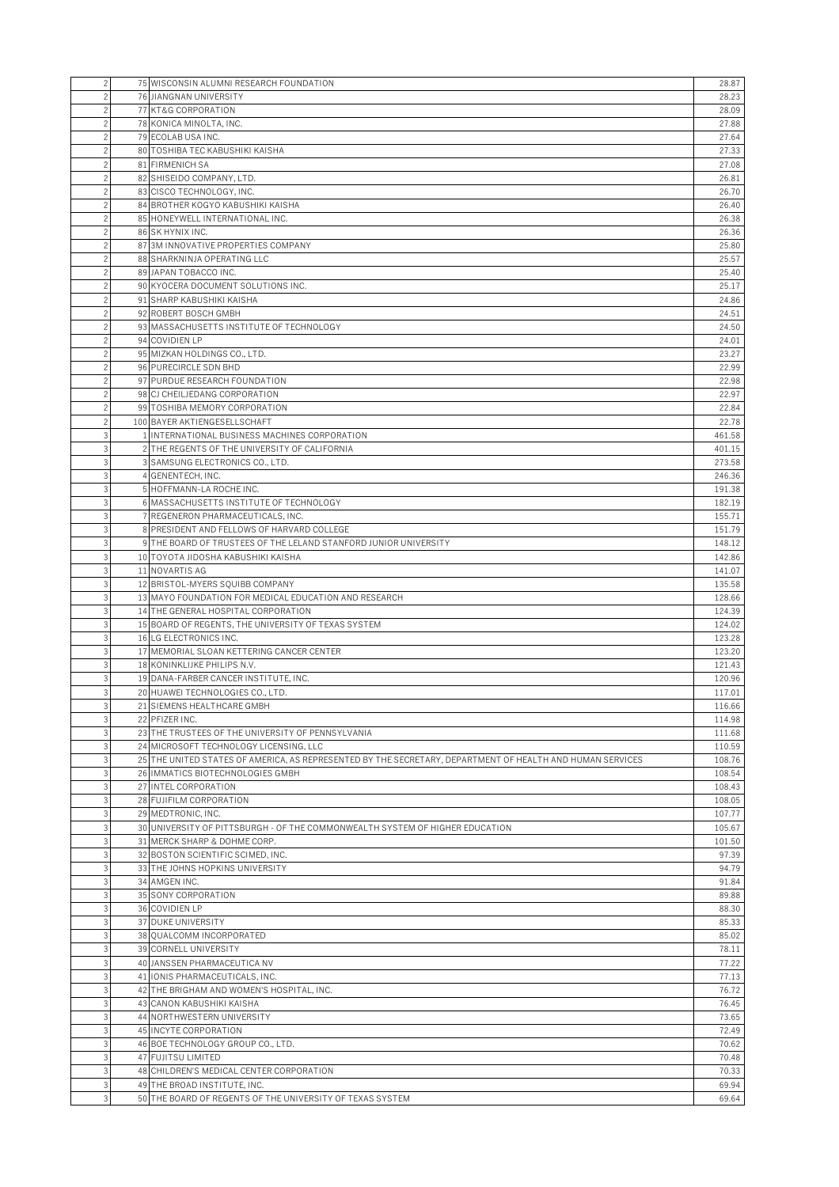| $\overline{c}$                   | 75 WISCONSIN ALUMNI RESEARCH FOUNDATION                                                                   | 28.87            |
|----------------------------------|-----------------------------------------------------------------------------------------------------------|------------------|
| $\overline{c}$                   | 76 JIANGNAN UNIVERSITY                                                                                    | 28.23            |
| $\overline{c}$                   | 77 KT&G CORPORATION                                                                                       | 28.09            |
| $\overline{c}$                   | 78 KONICA MINOLTA, INC.                                                                                   | 27.88            |
| $\overline{c}$                   | 79 ECOLAB USA INC.                                                                                        | 27.64            |
| $\overline{c}$                   | 80 TOSHIBA TEC KABUSHIKI KAISHA                                                                           | 27.33            |
| $\overline{c}$                   | 81 FIRMENICH SA                                                                                           | 27.08            |
| $\overline{c}$                   | 82 SHISEIDO COMPANY, LTD.                                                                                 | 26.81            |
| $\overline{c}$                   | 83 CISCO TECHNOLOGY, INC.                                                                                 | 26.70            |
| $\overline{c}$                   | 84 BROTHER KOGYO KABUSHIKI KAISHA                                                                         | 26.40            |
| $\overline{c}$                   | 85 HONEYWELL INTERNATIONAL INC.                                                                           | 26.38            |
| $\overline{c}$                   | 86 SK HYNIX INC.                                                                                          | 26.36            |
| $\overline{c}$                   | 87 3M INNOVATIVE PROPERTIES COMPANY                                                                       | 25.80            |
| $\overline{c}$                   | 88 SHARKNINJA OPERATING LLC<br>89 JAPAN TOBACCO INC.                                                      | 25.57            |
| $\overline{c}$<br>$\overline{c}$ | 90 KYOCERA DOCUMENT SOLUTIONS INC.                                                                        | 25.40<br>25.17   |
| $\overline{c}$                   | 91 SHARP KABUSHIKI KAISHA                                                                                 | 24.86            |
| $\overline{c}$                   | 92 ROBERT BOSCH GMBH                                                                                      | 24.51            |
| $\overline{c}$                   | 93 MASSACHUSETTS INSTITUTE OF TECHNOLOGY                                                                  | 24.50            |
| 2                                | 94 COVIDIEN LP                                                                                            | 24.01            |
| $\overline{c}$                   | 95 MIZKAN HOLDINGS CO., LTD.                                                                              | 23.27            |
| $\overline{c}$                   | 96 PURECIRCLE SDN BHD                                                                                     | 22.99            |
| $\overline{c}$                   | 97 PURDUE RESEARCH FOUNDATION                                                                             | 22.98            |
| $\overline{c}$                   | 98 CJ CHEILJEDANG CORPORATION                                                                             | 22.97            |
| 2                                | 99 TOSHIBA MEMORY CORPORATION                                                                             | 22.84            |
| $\overline{c}$                   | 100 BAYER AKTIENGESELLSCHAFT                                                                              | 22.78            |
| 3                                | 1 INTERNATIONAL BUSINESS MACHINES CORPORATION                                                             | 461.58           |
| 3                                | 2 THE REGENTS OF THE UNIVERSITY OF CALIFORNIA                                                             | 401.15           |
| $\mathbf{3}$                     | 3 SAMSUNG ELECTRONICS CO., LTD.                                                                           | 273.58           |
| $\mathbf{3}$                     | 4 GENENTECH, INC.                                                                                         | 246.36           |
| 3                                | 5 HOFFMANN-LA ROCHE INC.                                                                                  | 191.38           |
| 3                                | 6 MASSACHUSETTS INSTITUTE OF TECHNOLOGY                                                                   | 182.19           |
| 3                                | 7 REGENERON PHARMACEUTICALS, INC.                                                                         | 155.71           |
| 3                                | 8 PRESIDENT AND FELLOWS OF HARVARD COLLEGE                                                                | 151.79           |
| $\mathbf{3}$                     | 9 THE BOARD OF TRUSTEES OF THE LELAND STANFORD JUNIOR UNIVERSITY                                          | 148.12           |
| 3                                | 10 TOYOTA JIDOSHA KABUSHIKI KAISHA                                                                        | 142.86           |
| 3<br>3                           | 11 NOVARTIS AG<br>12 BRISTOL-MYERS SQUIBB COMPANY                                                         | 141.07<br>135.58 |
| $\mathbf{3}$                     | 13 MAYO FOUNDATION FOR MEDICAL EDUCATION AND RESEARCH                                                     | 128.66           |
| $\mathbf{3}$                     | 14 THE GENERAL HOSPITAL CORPORATION                                                                       | 124.39           |
| 3                                | 15 BOARD OF REGENTS, THE UNIVERSITY OF TEXAS SYSTEM                                                       | 124.02           |
| 3                                | 16 LG ELECTRONICS INC.                                                                                    | 123.28           |
| 3                                | 17 MEMORIAL SLOAN KETTERING CANCER CENTER                                                                 | 123.20           |
| $\overline{3}$                   | 18 KONINKLIJKE PHILIPS N.V.                                                                               | 121.43           |
| 3                                | 19 DANA-FARBER CANCER INSTITUTE, INC.                                                                     | 120.96           |
| 3                                | 20 HUAWEI TECHNOLOGIES CO., LTD.                                                                          | 117.01           |
| $\overline{3}$                   | 21 SIEMENS HEALTHCARE GMBH                                                                                | 116.66           |
| $\mathbf{3}$                     | 22 PFIZER INC.                                                                                            | 114.98           |
| $\overline{3}$                   | 23 THE TRUSTEES OF THE UNIVERSITY OF PENNSYLVANIA                                                         | 111.68           |
| $\mathbf{3}$                     | 24 MICROSOFT TECHNOLOGY LICENSING, LLC                                                                    | 110.59           |
| $\mathbf{3}$                     | 25 THE UNITED STATES OF AMERICA, AS REPRESENTED BY THE SECRETARY, DEPARTMENT OF HEALTH AND HUMAN SERVICES | 108.76           |
| $\mathbf{3}$                     | 26 IMMATICS BIOTECHNOLOGIES GMBH                                                                          | 108.54           |
| $\mathbf{3}$                     | 27 INTEL CORPORATION                                                                                      | 108.43           |
| $\mathbf{3}$                     | 28 FUJIFILM CORPORATION                                                                                   | 108.05           |
| $\mathbf{3}$                     | 29 MEDTRONIC. INC.                                                                                        | 107.77           |
| $\mathbf{3}$<br>$\mathbf{3}$     | 30 UNIVERSITY OF PITTSBURGH - OF THE COMMONWEALTH SYSTEM OF HIGHER EDUCATION                              | 105.67           |
| 3                                | 31 MERCK SHARP & DOHME CORP.<br>32 BOSTON SCIENTIFIC SCIMED, INC.                                         | 101.50<br>97.39  |
| $\mathbf{3}$                     | 33 THE JOHNS HOPKINS UNIVERSITY                                                                           | 94.79            |
| $\mathbf{3}$                     | 34 AMGEN INC.                                                                                             | 91.84            |
| $\mathbf{3}$                     | 35 SONY CORPORATION                                                                                       | 89.88            |
| $\mathbf{3}$                     | 36 COVIDIEN LP                                                                                            | 88.30            |
| 3                                | 37 DUKE UNIVERSITY                                                                                        | 85.33            |
| $\mathbf{3}$                     | 38 QUALCOMM INCORPORATED                                                                                  | 85.02            |
| $\mathbf{3}$                     | 39 CORNELL UNIVERSITY                                                                                     | 78.11            |
| $\mathbf{3}$                     | 40 JANSSEN PHARMACEUTICA NV                                                                               | 77.22            |
| $\mathbf{3}$                     | 41 IONIS PHARMACEUTICALS, INC.                                                                            | 77.13            |
| 3                                | 42 THE BRIGHAM AND WOMEN'S HOSPITAL, INC.                                                                 | 76.72            |
| $\mathbf{3}$                     | 43 CANON KABUSHIKI KAISHA                                                                                 | 76.45            |
| $\mathbf{3}$                     | 44 NORTHWESTERN UNIVERSITY                                                                                | 73.65            |
| $\mathbf{3}$                     | 45 INCYTE CORPORATION                                                                                     | 72.49            |
| $\mathbf{3}$                     | 46 BOE TECHNOLOGY GROUP CO., LTD.                                                                         | 70.62            |
| 3                                | <b>47 FUJITSU LIMITED</b>                                                                                 | 70.48            |
| $\mathbf{3}$                     | 48 CHILDREN'S MEDICAL CENTER CORPORATION                                                                  | 70.33            |
| $\mathbf{3}$                     | 49 THE BROAD INSTITUTE, INC.                                                                              | 69.94            |
| $\overline{3}$                   | 50 THE BOARD OF REGENTS OF THE UNIVERSITY OF TEXAS SYSTEM                                                 | 69.64            |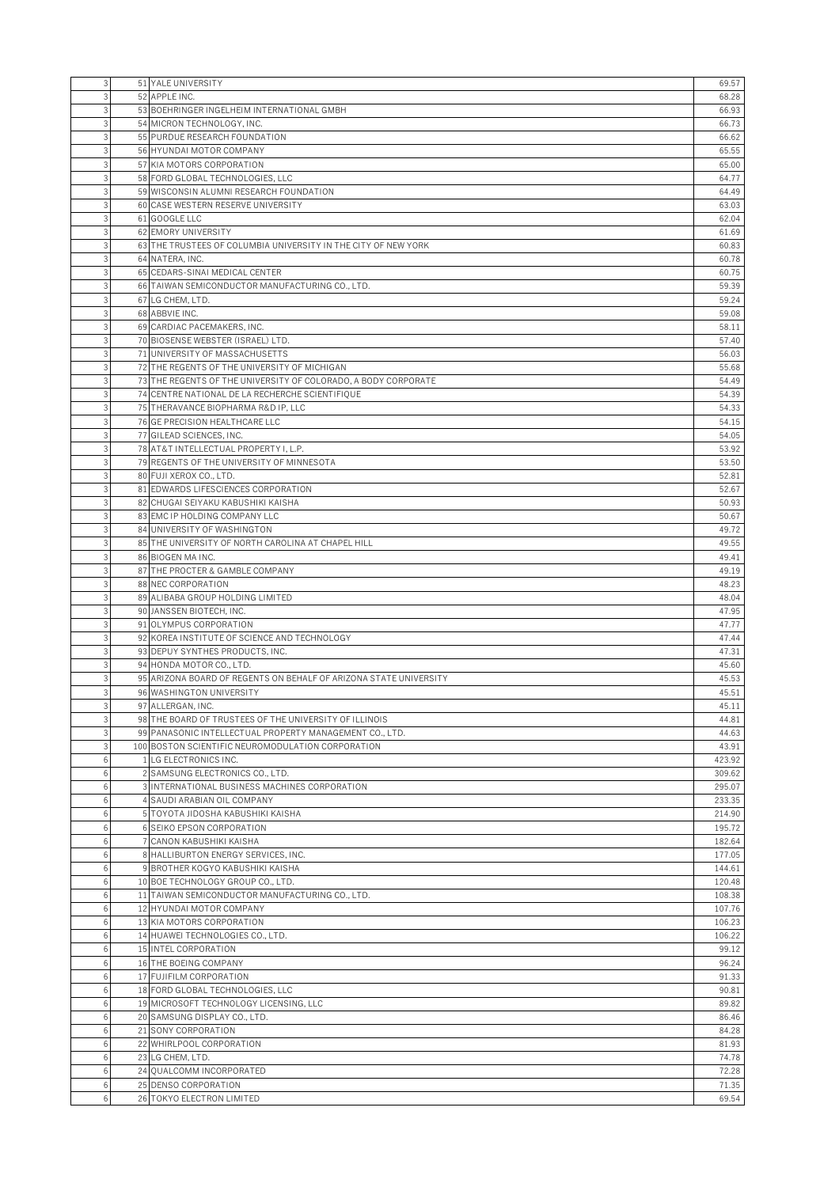|        | 51 YALE UNIVERSITY                                                                    | 69.57           |
|--------|---------------------------------------------------------------------------------------|-----------------|
|        | 52 APPLE INC.                                                                         | 68.28           |
|        | 53 BOEHRINGER INGELHEIM INTERNATIONAL GMBH                                            | 66.93           |
|        | 54 MICRON TECHNOLOGY, INC.                                                            | 66.73           |
| 3      | 55 PURDUE RESEARCH FOUNDATION                                                         | 66.62           |
| 3      | 56 HYUNDAI MOTOR COMPANY                                                              | 65.55           |
|        | 57 KIA MOTORS CORPORATION                                                             | 65.00           |
|        | 58 FORD GLOBAL TECHNOLOGIES, LLC                                                      | 64.77           |
|        | 59 WISCONSIN ALUMNI RESEARCH FOUNDATION                                               | 64.49           |
| 3      | 60 CASE WESTERN RESERVE UNIVERSITY                                                    | 63.03           |
|        | 61 GOOGLE LLC                                                                         | 62.04           |
|        | 62 EMORY UNIVERSITY<br>63 THE TRUSTEES OF COLUMBIA UNIVERSITY IN THE CITY OF NEW YORK | 61.69<br>60.83  |
|        | 64 NATERA, INC.                                                                       | 60.78           |
|        | 65 CEDARS-SINAI MEDICAL CENTER                                                        | 60.75           |
| 3      | 66 TAIWAN SEMICONDUCTOR MANUFACTURING CO., LTD.                                       | 59.39           |
|        | 67 LG CHEM, LTD.                                                                      | 59.24           |
|        | 68 ABBVIE INC.                                                                        | 59.08           |
|        | 69 CARDIAC PACEMAKERS, INC.                                                           | 58.11           |
| 3      | 70 BIOSENSE WEBSTER (ISRAEL) LTD.                                                     | 57.40           |
| 3      | 71 UNIVERSITY OF MASSACHUSETTS                                                        | 56.03           |
|        | 72 THE REGENTS OF THE UNIVERSITY OF MICHIGAN                                          | 55.68           |
|        | 73 THE REGENTS OF THE UNIVERSITY OF COLORADO, A BODY CORPORATE                        | 54.49           |
|        | 74 CENTRE NATIONAL DE LA RECHERCHE SCIENTIFIQUE                                       | 54.39           |
|        | 75 THERAVANCE BIOPHARMA R&D IP. LLC                                                   | 54.33           |
|        | 76 GE PRECISION HEALTHCARE LLC                                                        | 54.15           |
|        | 77 GILEAD SCIENCES, INC.                                                              | 54.05           |
|        | 78 AT&T INTELLECTUAL PROPERTY I, L.P.                                                 | 53.92           |
|        | 79 REGENTS OF THE UNIVERSITY OF MINNESOTA                                             | 53.50           |
|        | 80 FUJI XEROX CO., LTD.                                                               | 52.81           |
|        | 81 EDWARDS LIFESCIENCES CORPORATION                                                   | 52.67           |
|        | 82 CHUGAI SEIYAKU KABUSHIKI KAISHA                                                    | 50.93           |
|        | 83 EMC IP HOLDING COMPANY LLC                                                         | 50.67           |
|        | 84 UNIVERSITY OF WASHINGTON                                                           | 49.72           |
|        | 85 THE UNIVERSITY OF NORTH CAROLINA AT CHAPEL HILL                                    | 49.55           |
|        | 86 BIOGEN MA INC.                                                                     | 49.41           |
|        | 87 THE PROCTER & GAMBLE COMPANY                                                       | 49.19           |
|        | 88 NEC CORPORATION                                                                    | 48.23           |
|        | 89 ALIBABA GROUP HOLDING LIMITED                                                      | 48.04           |
|        | 90 JANSSEN BIOTECH, INC.                                                              | 47.95           |
|        | 91 OLYMPUS CORPORATION                                                                |                 |
|        |                                                                                       | 47.77           |
|        | 92 KOREA INSTITUTE OF SCIENCE AND TECHNOLOGY                                          | 47.44           |
|        | 93 DEPUY SYNTHES PRODUCTS, INC.                                                       | 47.31           |
|        | 94 HONDA MOTOR CO., LTD.                                                              | 45.60           |
|        | 95 ARIZONA BOARD OF REGENTS ON BEHALF OF ARIZONA STATE UNIVERSITY                     | 45.53           |
| 3      | 96 WASHINGTON UNIVERSITY                                                              | 45.51           |
| 3      | 97 ALLERGAN, INC.                                                                     | 45.11           |
|        | 98 THE BOARD OF TRUSTEES OF THE UNIVERSITY OF ILLINOIS                                | 44.81           |
|        | 99 PANASONIC INTELLECTUAL PROPERTY MANAGEMENT CO., LTD.                               | 44.63           |
| 3<br>6 | 100 BOSTON SCIENTIFIC NEUROMODULATION CORPORATION                                     | 43.91<br>423.92 |
| 6      | 1 LG ELECTRONICS INC.<br>2 SAMSUNG ELECTRONICS CO., LTD.                              | 309.62          |
| 6      | 3 INTERNATIONAL BUSINESS MACHINES CORPORATION                                         | 295.07          |
| 6      | 4 SAUDI ARABIAN OIL COMPANY                                                           | 233.35          |
| 6      | 5 TOYOTA JIDOSHA KABUSHIKI KAISHA                                                     | 214.90          |
| 6      | 6 SEIKO EPSON CORPORATION                                                             | 195.72          |
| 6      | 7 CANON KABUSHIKI KAISHA                                                              | 182.64          |
| 6      | 8 HALLIBURTON ENERGY SERVICES, INC.                                                   | 177.05          |
| 6      | 9 BROTHER KOGYO KABUSHIKI KAISHA                                                      | 144.61          |
| 6      | 10 BOE TECHNOLOGY GROUP CO., LTD.                                                     | 120.48          |
| 6      | 11 TAIWAN SEMICONDUCTOR MANUFACTURING CO., LTD.                                       | 108.38          |
| 6      | 12 HYUNDAI MOTOR COMPANY                                                              | 107.76          |
| 6      | 13 KIA MOTORS CORPORATION                                                             | 106.23          |
| 6      | 14 HUAWEI TECHNOLOGIES CO., LTD.                                                      | 106.22          |
| 6      | 15 INTEL CORPORATION                                                                  | 99.12           |
| 6      | 16 THE BOEING COMPANY                                                                 | 96.24           |
| 6      | 17 FUJIFILM CORPORATION                                                               | 91.33           |
| 6      | 18 FORD GLOBAL TECHNOLOGIES, LLC                                                      | 90.81           |
| 6      | 19 MICROSOFT TECHNOLOGY LICENSING, LLC                                                | 89.82           |
| 6      | 20 SAMSUNG DISPLAY CO., LTD.                                                          | 86.46           |
| 6      | 21 SONY CORPORATION                                                                   | 84.28           |
| 6      | 22 WHIRLPOOL CORPORATION                                                              | 81.93           |
| 6      | 23 LG CHEM, LTD.                                                                      | 74.78           |
| 6      | 24 QUALCOMM INCORPORATED                                                              | 72.28           |
| 6<br>6 | 25 DENSO CORPORATION<br>26 TOKYO ELECTRON LIMITED                                     | 71.35<br>69.54  |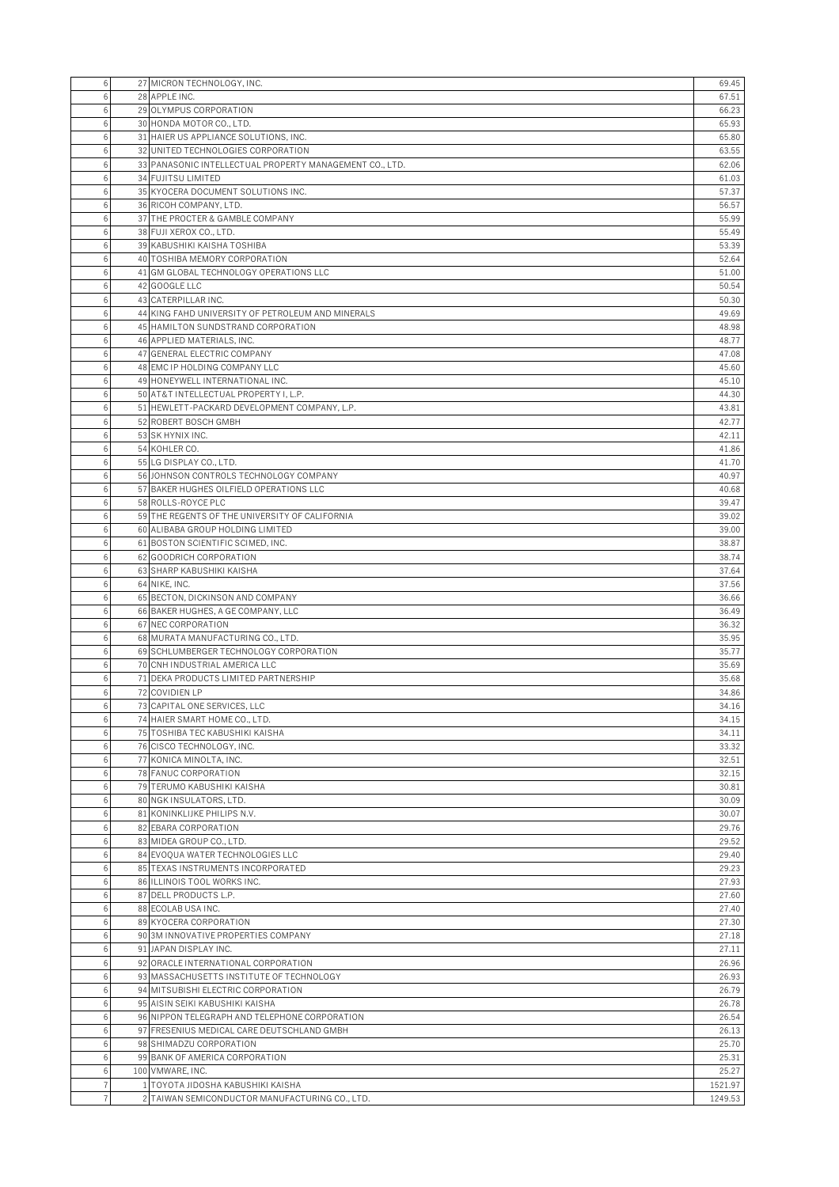| 6      | 27 MICRON TECHNOLOGY, INC.                                              | 69.45          |
|--------|-------------------------------------------------------------------------|----------------|
| 6      | 28 APPLE INC.                                                           | 67.51          |
| 6      | 29 OLYMPUS CORPORATION                                                  | 66.23          |
| 6      | 30 HONDA MOTOR CO., LTD.                                                | 65.93          |
| 6      | 31 HAIER US APPLIANCE SOLUTIONS, INC.                                   | 65.80          |
| 6      | 32 UNITED TECHNOLOGIES CORPORATION                                      | 63.55          |
|        | 33 PANASONIC INTELLECTUAL PROPERTY MANAGEMENT CO., LTD.                 | 62.06          |
|        | 34 FUJITSU LIMITED                                                      | 61.03          |
| 6      | 35 KYOCERA DOCUMENT SOLUTIONS INC.                                      | 57.37          |
| 6      | 36 RICOH COMPANY, LTD.                                                  | 56.57          |
| 6      | 37 THE PROCTER & GAMBLE COMPANY                                         | 55.99          |
| 6      | 38 FUJI XEROX CO., LTD.                                                 | 55.49          |
| 6      | 39 KABUSHIKI KAISHA TOSHIBA                                             | 53.39          |
| 6<br>6 | 40 TOSHIBA MEMORY CORPORATION<br>41 GM GLOBAL TECHNOLOGY OPERATIONS LLC | 52.64<br>51.00 |
| 6      | 42 GOOGLE LLC                                                           | 50.54          |
| 6      | 43 CATERPILLAR INC.                                                     | 50.30          |
| 6      | 44 KING FAHD UNIVERSITY OF PETROLEUM AND MINERALS                       | 49.69          |
| 6      | 45 HAMILTON SUNDSTRAND CORPORATION                                      | 48.98          |
| 6      | 46 APPLIED MATERIALS, INC.                                              | 48.77          |
| 6      | 47 GENERAL ELECTRIC COMPANY                                             | 47.08          |
| 6      | 48 EMC IP HOLDING COMPANY LLC                                           | 45.60          |
| 6      | 49 HONEYWELL INTERNATIONAL INC.                                         | 45.10          |
| 6      | 50 AT&T INTELLECTUAL PROPERTY I, L.P.                                   | 44.30          |
| 6      | 51 HEWLETT-PACKARD DEVELOPMENT COMPANY, L.P.                            | 43.81          |
| 6      | 52 ROBERT BOSCH GMBH                                                    | 42.77          |
|        | 53 SK HYNIX INC.                                                        | 42.11          |
| 6      | 54 KOHLER CO.                                                           | 41.86          |
| 6      | 55 LG DISPLAY CO., LTD.                                                 | 41.70          |
| 6<br>ĥ | 56 JOHNSON CONTROLS TECHNOLOGY COMPANY                                  | 40.97          |
| 6      | 57 BAKER HUGHES OILFIELD OPERATIONS LLC<br>58 ROLLS-ROYCE PLC           | 40.68<br>39.47 |
| 6      | 59 THE REGENTS OF THE UNIVERSITY OF CALIFORNIA                          | 39.02          |
| 6      | 60 ALIBABA GROUP HOLDING LIMITED                                        | 39.00          |
| 6      | 61 BOSTON SCIENTIFIC SCIMED, INC.                                       | 38.87          |
| 6      | 62 GOODRICH CORPORATION                                                 | 38.74          |
| 6      | 63 SHARP KABUSHIKI KAISHA                                               | 37.64          |
| 6      | 64 NIKE, INC.                                                           | 37.56          |
| 6      | 65 BECTON, DICKINSON AND COMPANY                                        | 36.66          |
| 6      | 66 BAKER HUGHES, A GE COMPANY, LLC                                      | 36.49          |
| 6      | 67 NEC CORPORATION                                                      | 36.32          |
| 6      | 68 MURATA MANUFACTURING CO., LTD.                                       | 35.95          |
| 6      | 69 SCHLUMBERGER TECHNOLOGY CORPORATION                                  | 35.77          |
| 6      | 70 CNH INDUSTRIAL AMERICA LLC                                           | 35.69          |
| 6<br>6 | 71 DEKA PRODUCTS LIMITED PARTNERSHIP<br>72 COVIDIEN LP                  | 35.68<br>34.86 |
| 6      | 73 CAPITAL ONE SERVICES, LLC                                            | 34.16          |
| 6      | 74 HAIER SMART HOME CO., LTD.                                           | 34.15          |
| 6      | 75 TOSHIBA TEC KABUSHIKI KAISHA                                         | 34.11          |
| 6      | 76 CISCO TECHNOLOGY, INC.                                               | 33.32          |
| 6      | 77 KONICA MINOLTA, INC.                                                 | 32.51          |
| 6      | 78 FANUC CORPORATION                                                    | 32.15          |
| 6      | 79 TERUMO KABUSHIKI KAISHA                                              | 30.81          |
| 6      | 80 NGK INSULATORS, LTD.                                                 | 30.09          |
| 6      | 81 KONINKLIJKE PHILIPS N.V.                                             | 30.07          |
| 6      | 82 EBARA CORPORATION                                                    | 29.76          |
| 6      | 83 MIDEA GROUP CO., LTD.                                                | 29.52          |
| 6<br>6 | 84 EVOQUA WATER TECHNOLOGIES LLC<br>85 TEXAS INSTRUMENTS INCORPORATED   | 29.40<br>29.23 |
| 6      | 86 ILLINOIS TOOL WORKS INC.                                             | 27.93          |
| 6      | 87 DELL PRODUCTS L.P.                                                   | 27.60          |
| 6      | 88 ECOLAB USA INC.                                                      | 27.40          |
| 6      | 89 KYOCERA CORPORATION                                                  | 27.30          |
| 6      | 90 3M INNOVATIVE PROPERTIES COMPANY                                     | 27.18          |
| 6      | 91 JAPAN DISPLAY INC.                                                   | 27.11          |
| 6      | 92 ORACLE INTERNATIONAL CORPORATION                                     | 26.96          |
| 6      | 93 MASSACHUSETTS INSTITUTE OF TECHNOLOGY                                | 26.93          |
| 6      | 94 MITSUBISHI ELECTRIC CORPORATION                                      | 26.79          |
| 6      | 95 AISIN SEIKI KABUSHIKI KAISHA                                         | 26.78          |
| 6      | 96 NIPPON TELEGRAPH AND TELEPHONE CORPORATION                           | 26.54          |
| 6      | 97 FRESENIUS MEDICAL CARE DEUTSCHLAND GMBH                              | 26.13          |
| 6      | 98 SHIMADZU CORPORATION                                                 | 25.70          |
| 6<br>6 | 99 BANK OF AMERICA CORPORATION<br>100 VMWARE, INC.                      | 25.31<br>25.27 |
|        | 1 TOYOTA JIDOSHA KABUSHIKI KAISHA                                       | 1521.97        |
|        | 2 TAIWAN SEMICONDUCTOR MANUFACTURING CO., LTD.                          | 1249.53        |
|        |                                                                         |                |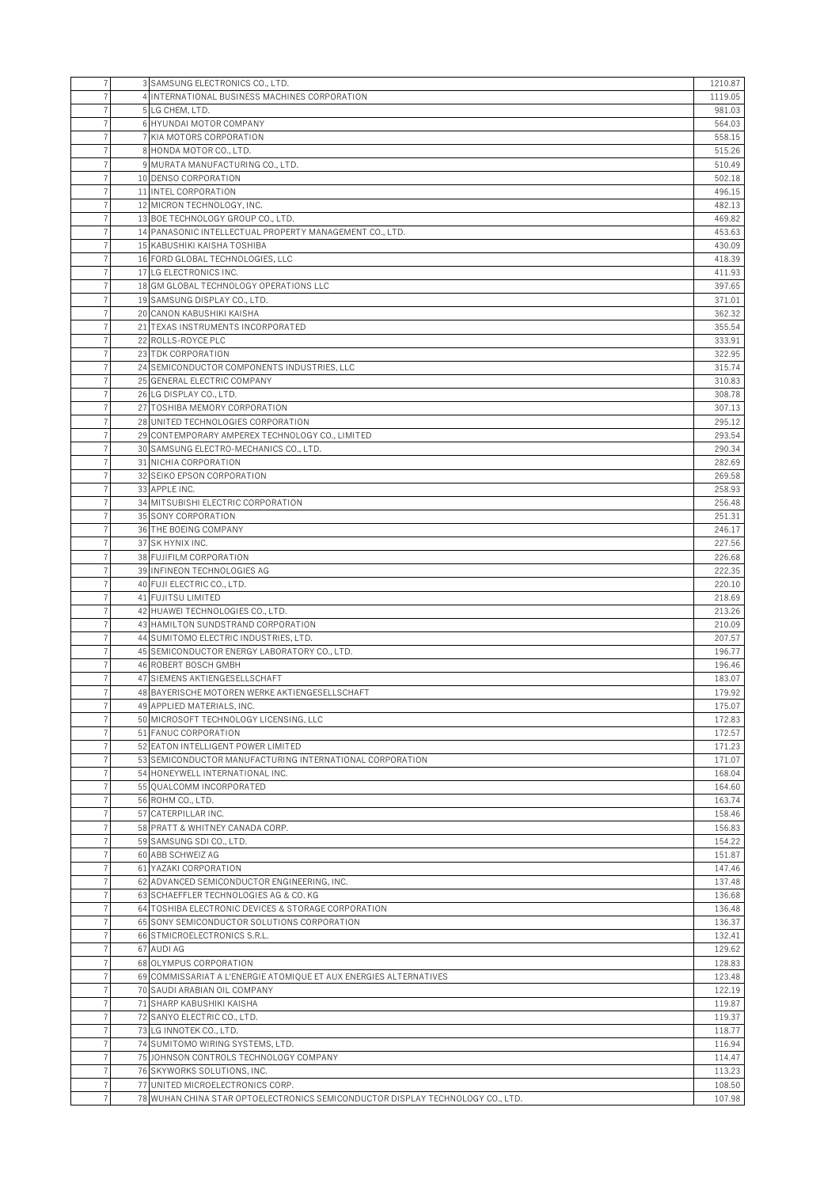| 7                   | 3 SAMSUNG ELECTRONICS CO., LTD.                                                | 1210.87          |
|---------------------|--------------------------------------------------------------------------------|------------------|
| $\overline{7}$      | 4 INTERNATIONAL BUSINESS MACHINES CORPORATION                                  | 1119.05          |
| 7                   | 5 LG CHEM, LTD.                                                                | 981.03           |
| 7                   | 6 HYUNDAI MOTOR COMPANY                                                        | 564.03           |
|                     | 7 KIA MOTORS CORPORATION                                                       | 558.15           |
| $\overline{7}$      | 8 HONDA MOTOR CO., LTD.                                                        | 515.26           |
| $\overline{7}$      | 9 MURATA MANUFACTURING CO., LTD.                                               | 510.49           |
| $\overline{7}$      | 10 DENSO CORPORATION                                                           | 502.18           |
| 7                   | 11 INTEL CORPORATION                                                           | 496.15           |
| $\overline{7}$      | 12 MICRON TECHNOLOGY, INC.                                                     | 482.13           |
| $\overline{7}$      | 13 BOE TECHNOLOGY GROUP CO., LTD.                                              | 469.82           |
| $\overline{7}$      | 14 PANASONIC INTELLECTUAL PROPERTY MANAGEMENT CO., LTD.                        | 453.63           |
| $\overline{7}$      | 15 KABUSHIKI KAISHA TOSHIBA                                                    | 430.09           |
| 7                   | 16 FORD GLOBAL TECHNOLOGIES, LLC                                               | 418.39           |
| 7                   | 17 LG ELECTRONICS INC.                                                         | 411.93           |
| $\overline{7}$      | 18 GM GLOBAL TECHNOLOGY OPERATIONS LLC                                         | 397.65           |
| 7<br>$\overline{7}$ | 19 SAMSUNG DISPLAY CO., LTD.<br>20 CANON KABUSHIKI KAISHA                      | 371.01<br>362.32 |
|                     |                                                                                | 355.54           |
|                     | 21 TEXAS INSTRUMENTS INCORPORATED<br>22 ROLLS-ROYCE PLC                        | 333.91           |
| $\overline{7}$      | 23 TDK CORPORATION                                                             | 322.95           |
| 7                   | 24 SEMICONDUCTOR COMPONENTS INDUSTRIES, LLC                                    | 315.74           |
| $\overline{7}$      | 25 GENERAL ELECTRIC COMPANY                                                    | 310.83           |
|                     | 26 LG DISPLAY CO., LTD.                                                        | 308.78           |
| 7                   | 27 TOSHIBA MEMORY CORPORATION                                                  | 307.13           |
|                     | 28 UNITED TECHNOLOGIES CORPORATION                                             | 295.12           |
| 7                   | 29 CONTEMPORARY AMPEREX TECHNOLOGY CO., LIMITED                                | 293.54           |
| $\overline{7}$      | 30 SAMSUNG ELECTRO-MECHANICS CO., LTD.                                         | 290.34           |
|                     | 31 NICHIA CORPORATION                                                          | 282.69           |
| 7                   | 32 SEIKO EPSON CORPORATION                                                     | 269.58           |
| 7                   | 33 APPLE INC.                                                                  | 258.93           |
| 7                   | 34 MITSUBISHI ELECTRIC CORPORATION                                             | 256.48           |
| $\overline{7}$      | 35 SONY CORPORATION                                                            | 251.31           |
| 7                   | 36 THE BOEING COMPANY                                                          | 246.17           |
| 7                   | 37 SK HYNIX INC.                                                               | 227.56           |
| 7                   | 38 FUJIFILM CORPORATION                                                        | 226.68           |
| 7                   | 39 INFINEON TECHNOLOGIES AG                                                    | 222.35           |
| $\overline{7}$      | 40 FUJI ELECTRIC CO., LTD.                                                     | 220.10           |
| 7                   | 41 FUJITSU LIMITED                                                             | 218.69           |
| 7                   | 42 HUAWEI TECHNOLOGIES CO., LTD.                                               | 213.26           |
| 7                   | 43 HAMILTON SUNDSTRAND CORPORATION                                             | 210.09           |
| $\overline{7}$      | 44 SUMITOMO ELECTRIC INDUSTRIES, LTD.                                          | 207.57           |
| $\overline{7}$      | 45 SEMICONDUCTOR ENERGY LABORATORY CO., LTD.                                   | 196.77           |
|                     | 46 ROBERT BOSCH GMBH<br>47 SIEMENS AKTIENGESELLSCHAFT                          | 196.46<br>183.07 |
| 7                   | 48 BAYERISCHE MOTOREN WERKE AKTIENGESELLSCHAFT                                 | 179.92           |
| 7 <sup>1</sup>      | 49 APPLIED MATERIALS, INC.                                                     | 175.07           |
| $\overline{7}$      | 50 MICROSOFT TECHNOLOGY LICENSING, LLC                                         | 172.83           |
| 7                   | 51 FANUC CORPORATION                                                           | 172.57           |
| $\overline{7}$      | 52 EATON INTELLIGENT POWER LIMITED                                             | 171.23           |
| $\overline{7}$      | 53 SEMICONDUCTOR MANUFACTURING INTERNATIONAL CORPORATION                       | 171.07           |
| $\overline{7}$      | 54 HONEYWELL INTERNATIONAL INC.                                                | 168.04           |
| $\overline{7}$      | 55 QUALCOMM INCORPORATED                                                       | 164.60           |
| 7                   | 56 ROHM CO., LTD.                                                              | 163.74           |
| $\overline{7}$      | 57 CATERPILLAR INC.                                                            | 158.46           |
| $\overline{7}$      | 58 PRATT & WHITNEY CANADA CORP.                                                | 156.83           |
| $\overline{7}$      | 59 SAMSUNG SDI CO., LTD.                                                       | 154.22           |
| $\overline{7}$      | 60 ABB SCHWEIZ AG                                                              | 151.87           |
| 7                   | 61 YAZAKI CORPORATION                                                          | 147.46           |
| $\overline{7}$      | 62 ADVANCED SEMICONDUCTOR ENGINEERING, INC.                                    | 137.48           |
| 7                   | 63 SCHAEFFLER TECHNOLOGIES AG & CO. KG                                         | 136.68           |
| $\overline{7}$      | 64 TOSHIBA ELECTRONIC DEVICES & STORAGE CORPORATION                            | 136.48           |
| $\overline{7}$      | 65 SONY SEMICONDUCTOR SOLUTIONS CORPORATION                                    | 136.37           |
| 7                   | 66 STMICROELECTRONICS S.R.L.                                                   | 132.41           |
| $\overline{7}$      | 67 AUDI AG                                                                     | 129.62           |
| 7                   | 68 OLYMPUS CORPORATION                                                         | 128.83           |
| $\overline{7}$      | 69 COMMISSARIAT A L'ENERGIE ATOMIQUE ET AUX ENERGIES ALTERNATIVES              | 123.48           |
| $\overline{7}$      | 70 SAUDI ARABIAN OIL COMPANY                                                   | 122.19           |
| 7<br>$\overline{7}$ | 71 SHARP KABUSHIKI KAISHA<br>72 SANYO ELECTRIC CO., LTD.                       | 119.87           |
| 7                   | 73 LG INNOTEK CO., LTD.                                                        | 119.37<br>118.77 |
| $\overline{7}$      | 74 SUMITOMO WIRING SYSTEMS, LTD.                                               | 116.94           |
| $\overline{7}$      | 75 JOHNSON CONTROLS TECHNOLOGY COMPANY                                         | 114.47           |
| 7                   | 76 SKYWORKS SOLUTIONS, INC.                                                    | 113.23           |
| $\overline{7}$      | 77 UNITED MICROELECTRONICS CORP.                                               | 108.50           |
| $\overline{7}$      | 78 WUHAN CHINA STAR OPTOELECTRONICS SEMICONDUCTOR DISPLAY TECHNOLOGY CO., LTD. | 107.98           |
|                     |                                                                                |                  |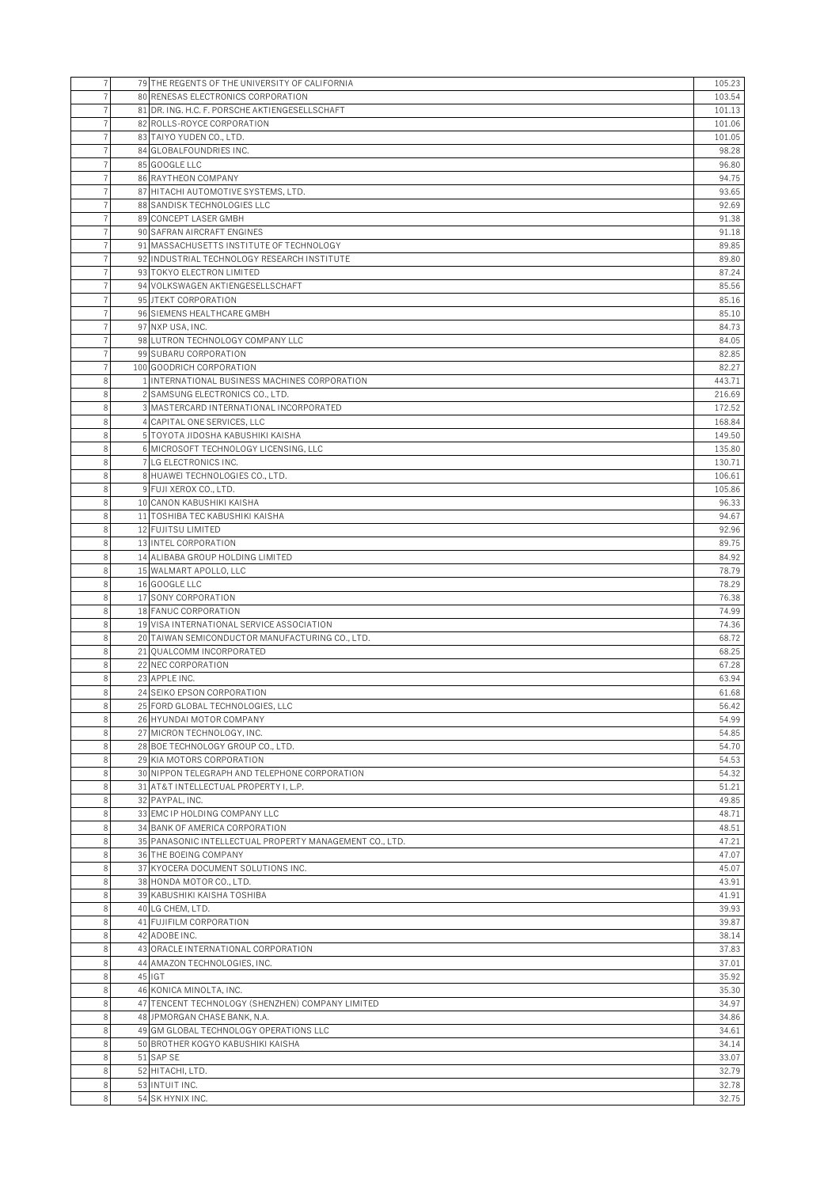| 7      | 79 THE REGENTS OF THE UNIVERSITY OF CALIFORNIA                              | 105.23         |
|--------|-----------------------------------------------------------------------------|----------------|
|        | 80 RENESAS ELECTRONICS CORPORATION                                          | 103.54         |
|        | 81 DR. ING. H.C. F. PORSCHE AKTIENGESELLSCHAFT                              | 101.13         |
| 7      | 82 ROLLS-ROYCE CORPORATION                                                  | 101.06         |
|        | 83 TAIYO YUDEN CO., LTD.                                                    | 101.05         |
|        | 84 GLOBALFOUNDRIES INC.                                                     | 98.28          |
|        | 85 GOOGLE LLC                                                               | 96.80          |
|        | 86 RAYTHEON COMPANY                                                         | 94.75          |
| 7      | 87 HITACHI AUTOMOTIVE SYSTEMS, LTD.                                         | 93.65          |
|        | 88 SANDISK TECHNOLOGIES LLC                                                 | 92.69          |
|        | 89 CONCEPT LASER GMBH                                                       | 91.38          |
|        | 90 SAFRAN AIRCRAFT ENGINES                                                  | 91.18          |
|        | 91 MASSACHUSETTS INSTITUTE OF TECHNOLOGY                                    | 89.85          |
|        | 92 INDUSTRIAL TECHNOLOGY RESEARCH INSTITUTE                                 | 89.80          |
|        | 93 TOKYO ELECTRON LIMITED                                                   | 87.24          |
|        | 94 VOLKSWAGEN AKTIENGESELLSCHAFT                                            | 85.56          |
|        | 95 JTEKT CORPORATION                                                        | 85.16          |
|        | 96 SIEMENS HEALTHCARE GMBH                                                  | 85.10          |
|        | 97 NXP USA, INC.                                                            | 84.73<br>84.05 |
|        | 98 LUTRON TECHNOLOGY COMPANY LLC<br>99 SUBARU CORPORATION                   | 82.85          |
|        | 100 GOODRICH CORPORATION                                                    | 82.27          |
| 8      | 1 INTERNATIONAL BUSINESS MACHINES CORPORATION                               | 443.71         |
| 8      | 2 SAMSUNG ELECTRONICS CO., LTD.                                             | 216.69         |
| 8      | 3 MASTERCARD INTERNATIONAL INCORPORATED                                     | 172.52         |
| 8      | 4 CAPITAL ONE SERVICES, LLC                                                 | 168.84         |
| 8      | 5 TOYOTA JIDOSHA KABUSHIKI KAISHA                                           | 149.50         |
| 8      | 6 MICROSOFT TECHNOLOGY LICENSING, LLC                                       | 135.80         |
| 8      | 7 LG ELECTRONICS INC.                                                       | 130.71         |
| 8      | 8 HUAWEI TECHNOLOGIES CO., LTD.                                             | 106.61         |
| 8      | 9 FUJI XEROX CO., LTD.                                                      | 105.86         |
| 8      | 10 CANON KABUSHIKI KAISHA                                                   | 96.33          |
| 8      | 11 TOSHIBA TEC KABUSHIKI KAISHA                                             | 94.67          |
| 8      | 12 FUJITSU LIMITED                                                          | 92.96          |
| 8      | 13 INTEL CORPORATION                                                        | 89.75          |
| 8      | 14 ALIBABA GROUP HOLDING LIMITED                                            | 84.92          |
| 8      | 15 WALMART APOLLO, LLC                                                      | 78.79          |
| 8      | 16 GOOGLE LLC                                                               | 78.29          |
| 8      | 17 SONY CORPORATION                                                         | 76.38          |
| 8      | 18 FANUC CORPORATION                                                        | 74.99          |
| 8      | 19 VISA INTERNATIONAL SERVICE ASSOCIATION                                   | 74.36          |
| 8      | 20 TAIWAN SEMICONDUCTOR MANUFACTURING CO., LTD.                             | 68.72          |
| 8      | 21 OUALCOMM INCORPORATED                                                    | 68.25          |
| 8      | 22 NEC CORPORATION                                                          | 67.28          |
| 8<br>8 | 23 APPLE INC.<br>24 SEIKO EPSON CORPORATION                                 | 63.94<br>61.68 |
| 8      | 25 FORD GLOBAL TECHNOLOGIES, LLC                                            | 56.42          |
| 8      | 26 HYUNDAI MOTOR COMPANY                                                    | 54.99          |
| 8      | 27 MICRON TECHNOLOGY, INC.                                                  | 54.85          |
| 8      | 28 BOE TECHNOLOGY GROUP CO., LTD.                                           | 54.70          |
| 8      | 29 KIA MOTORS CORPORATION                                                   | 54.53          |
| 8      | 30 NIPPON TELEGRAPH AND TELEPHONE CORPORATION                               | 54.32          |
| 8      | 31 AT&T INTELLECTUAL PROPERTY I. L.P.                                       | 51.21          |
| 8      | 32 PAYPAL, INC.                                                             | 49.85          |
| 8      | 33 EMC IP HOLDING COMPANY LLC                                               | 48.71          |
| 8      | 34 BANK OF AMERICA CORPORATION                                              | 48.51          |
| 8      | 35 PANASONIC INTELLECTUAL PROPERTY MANAGEMENT CO., LTD.                     | 47.21          |
| 8      | 36 THE BOEING COMPANY                                                       | 47.07          |
| 8      | 37 KYOCERA DOCUMENT SOLUTIONS INC.                                          | 45.07          |
| 8      | 38 HONDA MOTOR CO., LTD.                                                    | 43.91          |
| 8      | 39 KABUSHIKI KAISHA TOSHIBA                                                 | 41.91          |
| 8      | 40 LG CHEM, LTD.                                                            | 39.93          |
| 8      | 41 FUJIFILM CORPORATION                                                     | 39.87          |
| 8      | 42 ADOBE INC.                                                               | 38.14          |
| 8      | 43 ORACLE INTERNATIONAL CORPORATION                                         | 37.83          |
| 8      | 44 AMAZON TECHNOLOGIES, INC.                                                | 37.01          |
| 8      | 45 IGT                                                                      | 35.92          |
| 8<br>8 | 46 KONICA MINOLTA, INC.<br>47 TENCENT TECHNOLOGY (SHENZHEN) COMPANY LIMITED | 35.30<br>34.97 |
| 8      | 48 JPMORGAN CHASE BANK, N.A.                                                | 34.86          |
| 8      | 49 GM GLOBAL TECHNOLOGY OPERATIONS LLC                                      | 34.61          |
| 8      | 50 BROTHER KOGYO KABUSHIKI KAISHA                                           | 34.14          |
| 8      | 51 SAP SE                                                                   | 33.07          |
| 8      | 52 HITACHI, LTD.                                                            | 32.79          |
| 8      | 53 INTUIT INC.                                                              | 32.78          |
| 8      | 54 SK HYNIX INC.                                                            | 32.75          |
|        |                                                                             |                |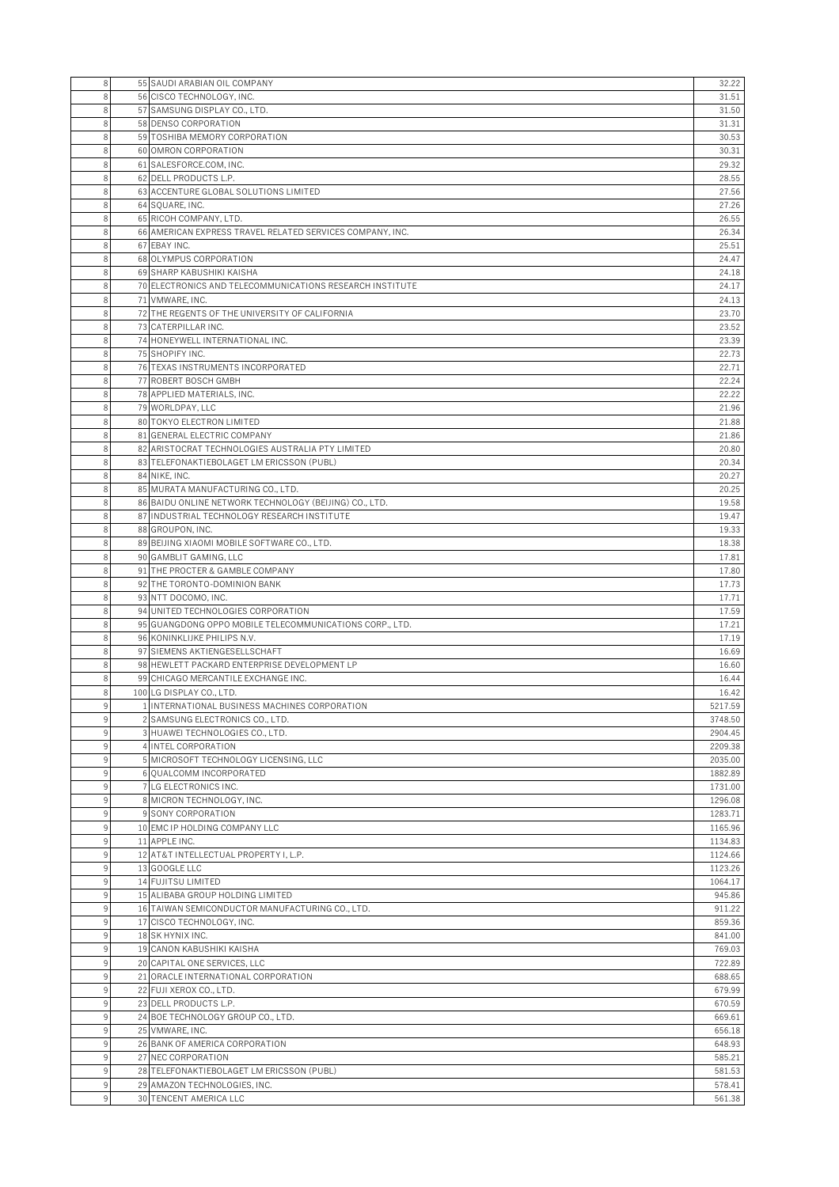| 8      | 55 SAUDI ARABIAN OIL COMPANY                                                                          | 32.22              |
|--------|-------------------------------------------------------------------------------------------------------|--------------------|
| 8      | 56 CISCO TECHNOLOGY, INC.                                                                             | 31.51              |
| 8      | 57 SAMSUNG DISPLAY CO., LTD.                                                                          | 31.50              |
| 8      | 58 DENSO CORPORATION                                                                                  | 31.31              |
| 8      | 59 TOSHIBA MEMORY CORPORATION                                                                         | 30.53              |
| 8      | 60 OMRON CORPORATION                                                                                  | 30.31              |
| 8      | 61 SALESFORCE.COM, INC.                                                                               | 29.32              |
| 8      | 62 DELL PRODUCTS L.P.                                                                                 | 28.55              |
| 8<br>8 | 63 ACCENTURE GLOBAL SOLUTIONS LIMITED                                                                 | 27.56              |
| 8      | 64 SQUARE, INC.<br>65 RICOH COMPANY, LTD.                                                             | 27.26<br>26.55     |
| 8      | 66 AMERICAN EXPRESS TRAVEL RELATED SERVICES COMPANY, INC.                                             | 26.34              |
| 8      | 67 EBAY INC.                                                                                          | 25.51              |
| 8      | 68 OLYMPUS CORPORATION                                                                                | 24.47              |
| 8      | 69 SHARP KABUSHIKI KAISHA                                                                             | 24.18              |
| 8      | 70 ELECTRONICS AND TELECOMMUNICATIONS RESEARCH INSTITUTE                                              | 24.17              |
| 8      | 71 VMWARE, INC.                                                                                       | 24.13              |
| 8      | 72 THE REGENTS OF THE UNIVERSITY OF CALIFORNIA                                                        | 23.70              |
| 8      | 73 CATERPILLAR INC.                                                                                   | 23.52              |
| 8      | 74 HONEYWELL INTERNATIONAL INC.                                                                       | 23.39              |
| 8      | 75 SHOPIFY INC.                                                                                       | 22.73              |
| 8      | 76 TEXAS INSTRUMENTS INCORPORATED                                                                     | 22.71              |
| 8      | 77 ROBERT BOSCH GMBH                                                                                  | 22.24              |
| 8      | 78 APPLIED MATERIALS, INC.                                                                            | 22.22              |
| 8      | 79 WORLDPAY, LLC                                                                                      | 21.96              |
| 8      | 80 TOKYO ELECTRON LIMITED                                                                             | 21.88              |
| 8      | 81 GENERAL ELECTRIC COMPANY                                                                           | 21.86              |
| 8      | 82 ARISTOCRAT TECHNOLOGIES AUSTRALIA PTY LIMITED                                                      | 20.80              |
| 8      | 83 TELEFONAKTIEBOLAGET LM ERICSSON (PUBL)                                                             | 20.34              |
| 8      | 84 NIKE, INC.                                                                                         | 20.27              |
| 8      | 85 MURATA MANUFACTURING CO., LTD.                                                                     | 20.25              |
| 8<br>8 | 86 BAIDU ONLINE NETWORK TECHNOLOGY (BEIJING) CO., LTD.<br>87 INDUSTRIAL TECHNOLOGY RESEARCH INSTITUTE | 19.58<br>19.47     |
| 8      | 88 GROUPON, INC.                                                                                      | 19.33              |
| 8      | 89 BEIJING XIAOMI MOBILE SOFTWARE CO., LTD.                                                           | 18.38              |
| 8      | 90 GAMBLIT GAMING, LLC                                                                                | 17.81              |
| 8      | 91 THE PROCTER & GAMBLE COMPANY                                                                       | 17.80              |
| 8      | 92 THE TORONTO-DOMINION BANK                                                                          | 17.73              |
| 8      | 93 NTT DOCOMO, INC.                                                                                   | 17.71              |
| 8      | 94 UNITED TECHNOLOGIES CORPORATION                                                                    | 17.59              |
| 8      | 95 GUANGDONG OPPO MOBILE TELECOMMUNICATIONS CORP., LTD.                                               | 17.21              |
| 8      | 96 KONINKLIJKE PHILIPS N.V.                                                                           | 17.19              |
| 8      | 97 SIEMENS AKTIENGESELLSCHAFT                                                                         | 16.69              |
| 8      | 98 HEWLETT PACKARD ENTERPRISE DEVELOPMENT LP                                                          | 16.60              |
| 8      | 99 CHICAGO MERCANTILE EXCHANGE INC.                                                                   | 16.44              |
| 8      | 100 LG DISPLAY CO., LTD.                                                                              | 16.42              |
| 9      | 1 INTERNATIONAL BUSINESS MACHINES CORPORATION                                                         | 5217.59            |
| 9      | 2 SAMSUNG ELECTRONICS CO., LTD.                                                                       | 3748.50            |
|        | 3 HUAWEI TECHNOLOGIES CO., LTD.                                                                       | 2904.45            |
| 9      | 4 INTEL CORPORATION                                                                                   | 2209.38            |
| 9      | 5 MICROSOFT TECHNOLOGY LICENSING, LLC                                                                 | 2035.00            |
| 9      | 6 QUALCOMM INCORPORATED                                                                               | 1882.89            |
| 9      | 7 LG ELECTRONICS INC.                                                                                 | 1731.00            |
| 9      | 8 MICRON TECHNOLOGY, INC.                                                                             | 1296.08            |
| 9<br>9 | 9 SONY CORPORATION<br>10 EMC IP HOLDING COMPANY LLC                                                   | 1283.71<br>1165.96 |
| 9      | 11 APPLE INC.                                                                                         | 1134.83            |
| 9      | 12 AT&T INTELLECTUAL PROPERTY I. L.P.                                                                 | 1124.66            |
| 9      | 13 GOOGLE LLC                                                                                         | 1123.26            |
| 9      | 14 FUJITSU LIMITED                                                                                    | 1064.17            |
| 9      | 15 ALIBABA GROUP HOLDING LIMITED                                                                      | 945.86             |
| 9      | 16 TAIWAN SEMICONDUCTOR MANUFACTURING CO., LTD.                                                       | 911.22             |
| 9      | 17 CISCO TECHNOLOGY, INC.                                                                             | 859.36             |
| 9      | 18 SK HYNIX INC.                                                                                      | 841.00             |
| 9      | 19 CANON KABUSHIKI KAISHA                                                                             | 769.03             |
| 9      | 20 CAPITAL ONE SERVICES, LLC                                                                          | 722.89             |
| 9      | 21 ORACLE INTERNATIONAL CORPORATION                                                                   | 688.65             |
| 9      | 22 FUJI XEROX CO., LTD.                                                                               | 679.99             |
| 9      | 23 DELL PRODUCTS L.P.                                                                                 | 670.59             |
| 9      | 24 BOE TECHNOLOGY GROUP CO., LTD.                                                                     | 669.61             |
| 9      | 25 VMWARE, INC.                                                                                       | 656.18             |
| 9      | 26 BANK OF AMERICA CORPORATION                                                                        | 648.93             |
| 9      | 27 NEC CORPORATION                                                                                    | 585.21             |
| 9      | 28 TELEFONAKTIEBOLAGET LM ERICSSON (PUBL)                                                             | 581.53             |
| 9      | 29 AMAZON TECHNOLOGIES, INC.                                                                          | 578.41             |
| 9      | 30 TENCENT AMERICA LLC                                                                                | 561.38             |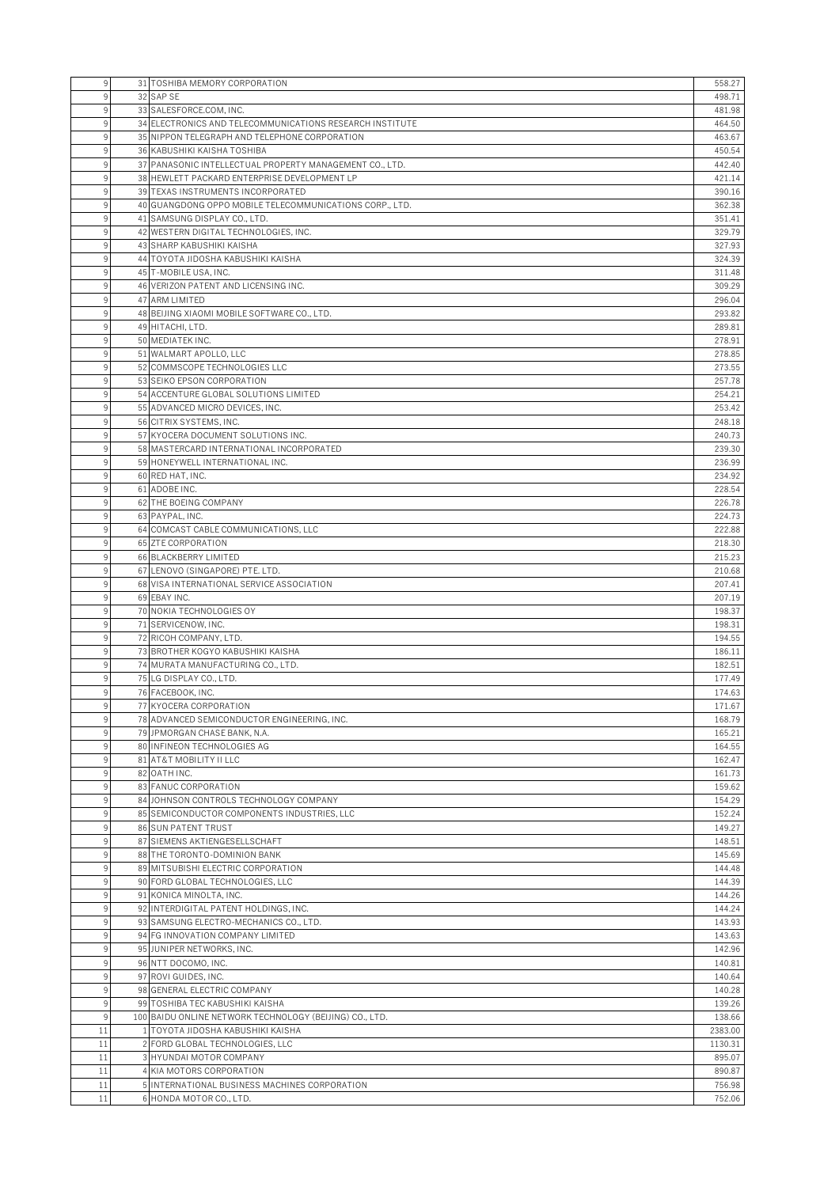| 9                 | 31 TOSHIBA MEMORY CORPORATION                                                                | 558.27           |
|-------------------|----------------------------------------------------------------------------------------------|------------------|
|                   | 32 SAP SE                                                                                    | 498.71           |
|                   | 33 SALESFORCE.COM, INC.                                                                      | 481.98           |
| 9                 | 34 ELECTRONICS AND TELECOMMUNICATIONS RESEARCH INSTITUTE                                     | 464.50           |
| 9                 | 35 NIPPON TELEGRAPH AND TELEPHONE CORPORATION                                                | 463.67           |
| $\mathbf{Q}$      | 36 KABUSHIKI KAISHA TOSHIBA                                                                  | 450.54           |
| 9                 | 37 PANASONIC INTELLECTUAL PROPERTY MANAGEMENT CO., LTD.                                      | 442.40           |
|                   | 38 HEWLETT PACKARD ENTERPRISE DEVELOPMENT LP                                                 | 421.14           |
| 9<br>9            | 39 TEXAS INSTRUMENTS INCORPORATED<br>40 GUANGDONG OPPO MOBILE TELECOMMUNICATIONS CORP., LTD. | 390.16<br>362.38 |
| 9                 | 41 SAMSUNG DISPLAY CO., LTD.                                                                 | 351.41           |
| 9                 | 42 WESTERN DIGITAL TECHNOLOGIES, INC.                                                        | 329.79           |
|                   | 43 SHARP KABUSHIKI KAISHA                                                                    | 327.93           |
| 9                 | 44 TOYOTA JIDOSHA KABUSHIKI KAISHA                                                           | 324.39           |
| 9                 | 45 T-MOBILE USA, INC.                                                                        | 311.48           |
| 9                 | 46 VERIZON PATENT AND LICENSING INC.                                                         | 309.29           |
| q                 | 47 ARM LIMITED                                                                               | 296.04           |
| q                 | 48 BEIJING XIAOMI MOBILE SOFTWARE CO., LTD.                                                  | 293.82           |
| 9                 | 49 HITACHI, LTD.                                                                             | 289.81           |
| 9                 | 50 MEDIATEK INC.                                                                             | 278.91           |
| 9                 | 51 WALMART APOLLO, LLC                                                                       | 278.85           |
| 9<br>$\mathsf{Q}$ | 52 COMMSCOPE TECHNOLOGIES LLC                                                                | 273.55           |
| 9                 | 53 SEIKO EPSON CORPORATION<br>54 ACCENTURE GLOBAL SOLUTIONS LIMITED                          | 257.78<br>254.21 |
| 9                 | 55 ADVANCED MICRO DEVICES, INC.                                                              | 253.42           |
| $\mathbf{Q}$      | 56 CITRIX SYSTEMS, INC.                                                                      | 248.18           |
| 9                 | 57 KYOCERA DOCUMENT SOLUTIONS INC.                                                           | 240.73           |
|                   | 58 MASTERCARD INTERNATIONAL INCORPORATED                                                     | 239.30           |
| 9                 | 59 HONEYWELL INTERNATIONAL INC.                                                              | 236.99           |
| 9                 | 60 RED HAT, INC.                                                                             | 234.92           |
| q                 | 61 ADOBE INC.                                                                                | 228.54           |
| q                 | 62 THE BOEING COMPANY                                                                        | 226.78           |
| q                 | 63 PAYPAL, INC.                                                                              | 224.73           |
| 9                 | 64 COMCAST CABLE COMMUNICATIONS, LLC                                                         | 222.88           |
| 9                 | 65 ZTE CORPORATION                                                                           | 218.30           |
| q                 | 66 BLACKBERRY LIMITED                                                                        | 215.23           |
| 9                 | 67 LENOVO (SINGAPORE) PTE. LTD.<br>68 VISA INTERNATIONAL SERVICE ASSOCIATION                 | 210.68<br>207.41 |
| 9                 | 69 EBAY INC.                                                                                 | 207.19           |
| 9                 | 70 NOKIA TECHNOLOGIES OY                                                                     | 198.37           |
| q                 | 71 SERVICENOW, INC.                                                                          | 198.31           |
| 9                 | 72 RICOH COMPANY, LTD.                                                                       | 194.55           |
| 9                 | 73 BROTHER KOGYO KABUSHIKI KAISHA                                                            | 186.11           |
| 9                 | 74 MURATA MANUFACTURING CO., LTD.                                                            | 182.51           |
| 9                 | 75 LG DISPLAY CO., LTD.                                                                      | 177.49           |
| 9                 | 76 FACEBOOK, INC.                                                                            | 174.63           |
| 9                 | 77 KYOCERA CORPORATION                                                                       | 171.67           |
| 9                 | 78 ADVANCED SEMICONDUCTOR ENGINEERING, INC.                                                  | 168.79           |
| 9                 | 79 JPMORGAN CHASE BANK, N.A.                                                                 | 165.21           |
| 9<br>q            | 80 INFINEON TECHNOLOGIES AG<br>81 AT&T MOBILITY II LLC                                       | 164.55<br>162.47 |
| 9                 | 82 OATH INC.                                                                                 | 161.73           |
| 9                 | 83 FANUC CORPORATION                                                                         | 159.62           |
| 9                 | 84 JOHNSON CONTROLS TECHNOLOGY COMPANY                                                       | 154.29           |
| 9                 | 85 SEMICONDUCTOR COMPONENTS INDUSTRIES, LLC                                                  | 152.24           |
| 9                 | 86 SUN PATENT TRUST                                                                          | 149.27           |
| 9                 | 87 SIEMENS AKTIENGESELLSCHAFT                                                                | 148.51           |
| 9                 | 88 THE TORONTO-DOMINION BANK                                                                 | 145.69           |
| 9                 | 89 MITSUBISHI ELECTRIC CORPORATION                                                           | 144.48           |
| 9                 | 90 FORD GLOBAL TECHNOLOGIES, LLC                                                             | 144.39           |
| 9                 | 91 KONICA MINOLTA, INC.                                                                      | 144.26           |
| 9                 | 92 INTERDIGITAL PATENT HOLDINGS, INC.                                                        | 144.24           |
| 9<br>9            | 93 SAMSUNG ELECTRO-MECHANICS CO., LTD.<br>94 FG INNOVATION COMPANY LIMITED                   | 143.93<br>143.63 |
| 9                 | 95 JUNIPER NETWORKS, INC.                                                                    | 142.96           |
| $\mathsf{Q}$      | 96 NTT DOCOMO, INC.                                                                          | 140.81           |
| 9                 | 97 ROVI GUIDES, INC.                                                                         | 140.64           |
| 9                 | 98 GENERAL ELECTRIC COMPANY                                                                  | 140.28           |
| 9                 | 99 TOSHIBA TEC KABUSHIKI KAISHA                                                              | 139.26           |
| 9                 | 100 BAIDU ONLINE NETWORK TECHNOLOGY (BEIJING) CO., LTD.                                      | 138.66           |
| 11                | 1 TOYOTA JIDOSHA KABUSHIKI KAISHA                                                            | 2383.00          |
| 11                | 2 FORD GLOBAL TECHNOLOGIES, LLC                                                              | 1130.31          |
| 11                | 3 HYUNDAI MOTOR COMPANY                                                                      | 895.07           |
| 11                | 4 KIA MOTORS CORPORATION                                                                     | 890.87           |
| 11<br>11          | 5 INTERNATIONAL BUSINESS MACHINES CORPORATION<br>6 HONDA MOTOR CO., LTD.                     | 756.98<br>752.06 |
|                   |                                                                                              |                  |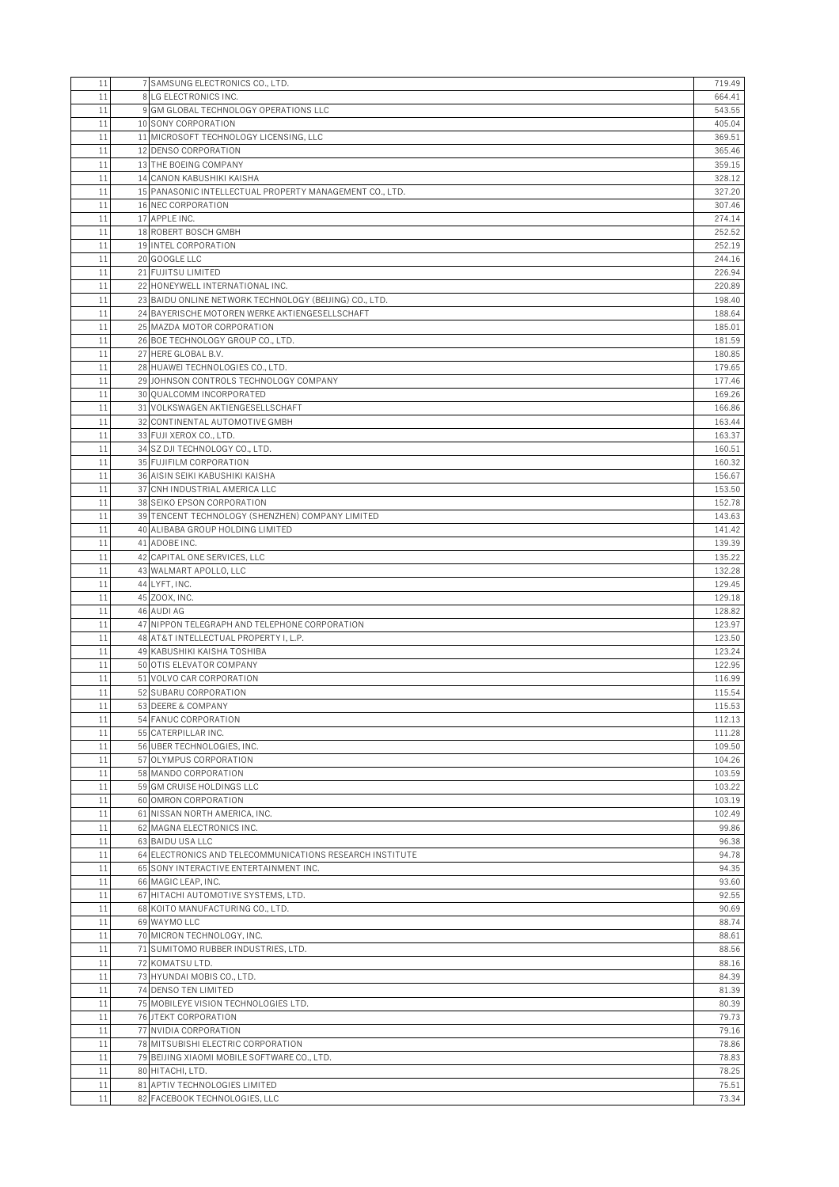| 11       | 7 SAMSUNG ELECTRONICS CO., LTD.                                                        | 719.49           |
|----------|----------------------------------------------------------------------------------------|------------------|
| 11       | 8 LG ELECTRONICS INC.                                                                  | 664.41           |
| 11<br>11 | 9 GM GLOBAL TECHNOLOGY OPERATIONS LLC                                                  | 543.55           |
| 11       | 10 SONY CORPORATION<br>11 MICROSOFT TECHNOLOGY LICENSING, LLC                          | 405.04<br>369.51 |
| 11       | 12 DENSO CORPORATION                                                                   | 365.46           |
| 11       | 13 THE BOEING COMPANY                                                                  | 359.15           |
| 11       | 14 CANON KABUSHIKI KAISHA                                                              | 328.12           |
| 11       | 15 PANASONIC INTELLECTUAL PROPERTY MANAGEMENT CO., LTD.                                | 327.20           |
| 11       | 16 NEC CORPORATION                                                                     | 307.46           |
| 11       | 17 APPLE INC.                                                                          | 274.14           |
| 11       | 18 ROBERT BOSCH GMBH                                                                   | 252.52           |
| 11<br>11 | 19 INTEL CORPORATION<br>20 GOOGLE LLC                                                  | 252.19<br>244.16 |
| 11       | 21 FUJITSU LIMITED                                                                     | 226.94           |
| 11       | 22 HONEYWELL INTERNATIONAL INC.                                                        | 220.89           |
| 11       | 23 BAIDU ONLINE NETWORK TECHNOLOGY (BEIJING) CO., LTD.                                 | 198.40           |
| 11       | 24 BAYERISCHE MOTOREN WERKE AKTIENGESELLSCHAFT                                         | 188.64           |
| 11       | 25 MAZDA MOTOR CORPORATION                                                             | 185.01           |
| 11       | 26 BOE TECHNOLOGY GROUP CO., LTD.                                                      | 181.59           |
| 11       | 27 HERE GLOBAL B.V.                                                                    | 180.85           |
| 11<br>11 | 28 HUAWEI TECHNOLOGIES CO., LTD.<br>29 JOHNSON CONTROLS TECHNOLOGY COMPANY             | 179.65<br>177.46 |
| 11       | 30 QUALCOMM INCORPORATED                                                               | 169.26           |
| 11       | 31 VOLKSWAGEN AKTIENGESELLSCHAFT                                                       | 166.86           |
| 11       | 32 CONTINENTAL AUTOMOTIVE GMBH                                                         | 163.44           |
| 11       | 33 FUJI XEROX CO., LTD.                                                                | 163.37           |
| 11       | 34 SZ DJI TECHNOLOGY CO., LTD.                                                         | 160.51           |
| 11       | 35 FUJIFILM CORPORATION                                                                | 160.32           |
| 11       | 36 AISIN SEIKI KABUSHIKI KAISHA                                                        | 156.67           |
| 11       | 37 CNH INDUSTRIAL AMERICA LLC                                                          | 153.50           |
| 11<br>11 | 38 SEIKO EPSON CORPORATION<br>39 TENCENT TECHNOLOGY (SHENZHEN) COMPANY LIMITED         | 152.78<br>143.63 |
| 11       | 40 ALIBABA GROUP HOLDING LIMITED                                                       | 141.42           |
| 11       | 41 ADOBE INC.                                                                          | 139.39           |
| 11       | 42 CAPITAL ONE SERVICES, LLC                                                           | 135.22           |
| 11       | 43 WALMART APOLLO, LLC                                                                 | 132.28           |
| 11       | 44 LYFT, INC.                                                                          | 129.45           |
| 11       | 45 ZOOX, INC.                                                                          | 129.18           |
| 11       | 46 AUDI AG                                                                             | 128.82           |
| 11<br>11 | 47 NIPPON TELEGRAPH AND TELEPHONE CORPORATION<br>48 AT&T INTELLECTUAL PROPERTY I, L.P. | 123.97<br>123.50 |
| 11       | 49 KABUSHIKI KAISHA TOSHIBA                                                            | 123.24           |
| 11       | 50 OTIS ELEVATOR COMPANY                                                               | 122.95           |
| 11       | 51 VOLVO CAR CORPORATION                                                               | 116.99           |
| 11       | 52 SUBARU CORPORATION                                                                  | 115.54           |
| 11       | 53 DEERE & COMPANY                                                                     | 115.53           |
| 11       | 54 FANUC CORPORATION                                                                   | 112.13           |
| 11       | 55 CATERPILLAR INC.                                                                    | 111.28           |
| 11<br>11 | 56 UBER TECHNOLOGIES, INC.<br>57 OLYMPUS CORPORATION                                   | 109.50<br>104.26 |
| 11       | 58 MANDO CORPORATION                                                                   | 103.59           |
| 11       | 59 GM CRUISE HOLDINGS LLC                                                              | 103.22           |
| 11       | 60 OMRON CORPORATION                                                                   | 103.19           |
| 11       | 61 NISSAN NORTH AMERICA, INC.                                                          | 102.49           |
| 11       | 62 MAGNA ELECTRONICS INC.                                                              | 99.86            |
| 11       | 63 BAIDU USA LLC                                                                       | 96.38            |
| 11       | 64 ELECTRONICS AND TELECOMMUNICATIONS RESEARCH INSTITUTE                               | 94.78            |
| 11<br>11 | 65 SONY INTERACTIVE ENTERTAINMENT INC.<br>66 MAGIC LEAP. INC.                          | 94.35<br>93.60   |
| 11       | 67 HITACHI AUTOMOTIVE SYSTEMS, LTD.                                                    | 92.55            |
| 11       | 68 KOITO MANUFACTURING CO., LTD.                                                       | 90.69            |
| 11       | 69 WAYMO LLC                                                                           | 88.74            |
| 11       | 70 MICRON TECHNOLOGY, INC.                                                             | 88.61            |
| 11       | 71 SUMITOMO RUBBER INDUSTRIES, LTD.                                                    | 88.56            |
| 11       | 72 KOMATSU LTD.                                                                        | 88.16            |
| 11       | 73 HYUNDAI MOBIS CO., LTD.                                                             | 84.39            |
| 11<br>11 | 74 DENSO TEN LIMITED                                                                   | 81.39            |
| 11       | 75 MOBILEYE VISION TECHNOLOGIES LTD.<br>76 JTEKT CORPORATION                           | 80.39<br>79.73   |
| 11       | 77 NVIDIA CORPORATION                                                                  | 79.16            |
| 11       | 78 MITSUBISHI ELECTRIC CORPORATION                                                     | 78.86            |
| 11       | 79 BEIJING XIAOMI MOBILE SOFTWARE CO., LTD.                                            | 78.83            |
|          |                                                                                        |                  |
| 11       | 80 HITACHI, LTD.                                                                       | 78.25            |
| 11<br>11 | 81 APTIV TECHNOLOGIES LIMITED<br>82 FACEBOOK TECHNOLOGIES, LLC                         | 75.51<br>73.34   |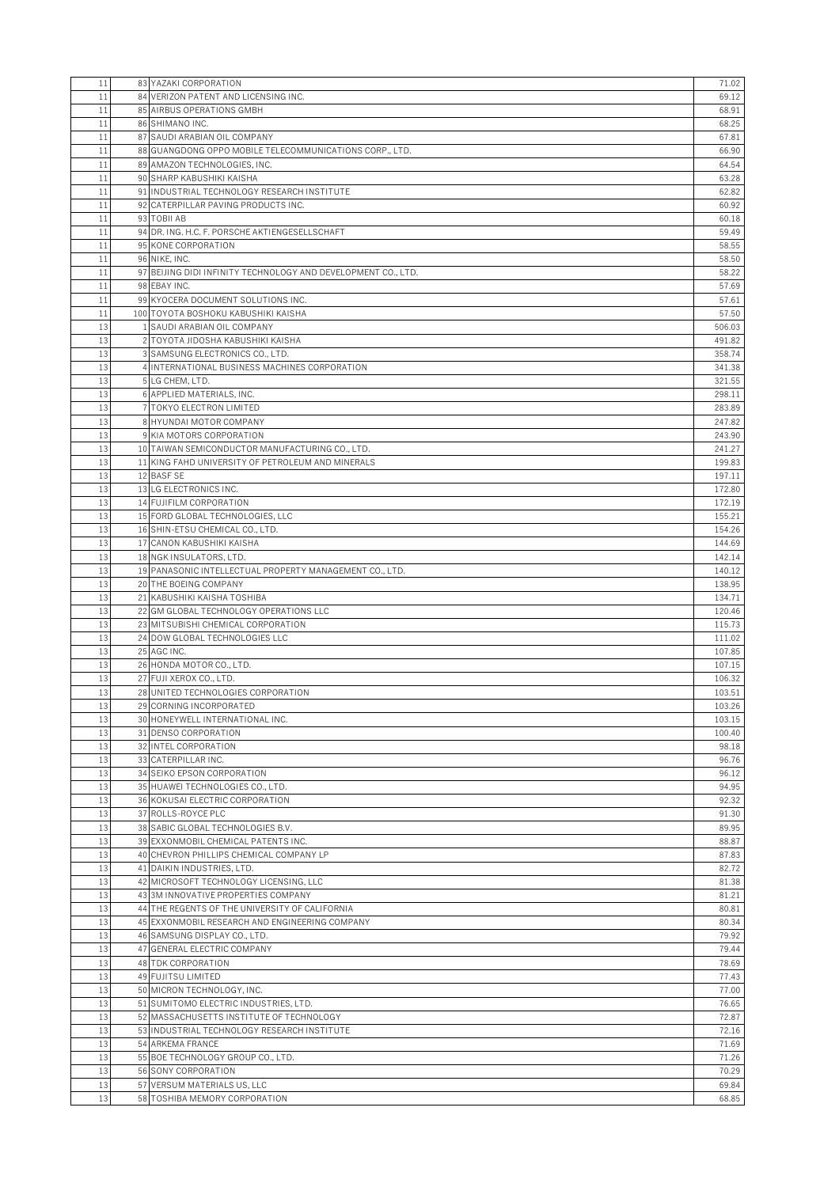| 11       | 83 YAZAKI CORPORATION                                                            | 71.02            |
|----------|----------------------------------------------------------------------------------|------------------|
| 11       | 84 VERIZON PATENT AND LICENSING INC.                                             | 69.12            |
| 11       | 85 AIRBUS OPERATIONS GMBH                                                        | 68.91            |
| 11       | 86 SHIMANO INC.                                                                  | 68.25            |
| 11       | 87 SAUDI ARABIAN OIL COMPANY                                                     | 67.81            |
| 11       | 88 GUANGDONG OPPO MOBILE TELECOMMUNICATIONS CORP., LTD.                          | 66.90            |
| 11       | 89 AMAZON TECHNOLOGIES, INC.                                                     | 64.54            |
| 11       | 90 SHARP KABUSHIKI KAISHA                                                        | 63.28            |
| 11       | 91 INDUSTRIAL TECHNOLOGY RESEARCH INSTITUTE                                      | 62.82            |
| 11       | 92 CATERPILLAR PAVING PRODUCTS INC.                                              | 60.92            |
| 11       | 93 TOBILAB                                                                       | 60.18            |
| 11       | 94 DR. ING. H.C. F. PORSCHE AKTIENGESELLSCHAFT                                   | 59.49            |
| 11       | 95 KONE CORPORATION                                                              | 58.55            |
| 11       | 96 NIKE, INC.                                                                    | 58.50            |
| 11<br>11 | 97 BEIJING DIDI INFINITY TECHNOLOGY AND DEVELOPMENT CO., LTD.<br>98 EBAY INC.    | 58.22<br>57.69   |
| 11       |                                                                                  |                  |
| 11       | 99 KYOCERA DOCUMENT SOLUTIONS INC.<br>100 TOYOTA BOSHOKU KABUSHIKI KAISHA        | 57.61<br>57.50   |
| 13       | 1 SAUDI ARABIAN OIL COMPANY                                                      | 506.03           |
| 13       | 2 TOYOTA JIDOSHA KABUSHIKI KAISHA                                                | 491.82           |
| 13       | 3 SAMSUNG ELECTRONICS CO., LTD.                                                  | 358.74           |
| 13       | 4 INTERNATIONAL BUSINESS MACHINES CORPORATION                                    | 341.38           |
| 13       | 5 LG CHEM, LTD.                                                                  | 321.55           |
| 13       | 6 APPLIED MATERIALS, INC.                                                        | 298.11           |
| 13       | 7 TOKYO ELECTRON LIMITED                                                         | 283.89           |
| 13       | 8 HYUNDAI MOTOR COMPANY                                                          | 247.82           |
| 13       | 9 KIA MOTORS CORPORATION                                                         | 243.90           |
| 13       | 10 TAIWAN SEMICONDUCTOR MANUFACTURING CO., LTD.                                  | 241.27           |
| 13       | 11 KING FAHD UNIVERSITY OF PETROLEUM AND MINERALS                                | 199.83           |
| 13       | 12 BASF SE                                                                       | 197.11           |
| 13       | 13 LG ELECTRONICS INC.                                                           | 172.80           |
| 13       | 14 FUJIFILM CORPORATION                                                          | 172.19           |
| 13       | 15 FORD GLOBAL TECHNOLOGIES, LLC                                                 | 155.21           |
| 13       | 16 SHIN-ETSU CHEMICAL CO., LTD.                                                  | 154.26           |
| 13       | 17 CANON KABUSHIKI KAISHA                                                        | 144.69           |
| 13       | 18 NGK INSULATORS, LTD.                                                          | 142.14           |
| 13<br>13 | 19 PANASONIC INTELLECTUAL PROPERTY MANAGEMENT CO., LTD.<br>20 THE BOEING COMPANY | 140.12<br>138.95 |
| 13       | 21 KABUSHIKI KAISHA TOSHIBA                                                      | 134.71           |
| 13       | 22 GM GLOBAL TECHNOLOGY OPERATIONS LLC                                           | 120.46           |
| 13       | 23 MITSUBISHI CHEMICAL CORPORATION                                               | 115.73           |
| 13       | 24 DOW GLOBAL TECHNOLOGIES LLC                                                   | 111.02           |
| 13       | 25 AGC INC.                                                                      | 107.85           |
| 13       | 26 HONDA MOTOR CO., LTD.                                                         | 107.15           |
| 13       | 27 FUJI XEROX CO., LTD.                                                          | 106.32           |
| 13       | 28 UNITED TECHNOLOGIES CORPORATION                                               | 103.51           |
| 13       | 29 CORNING INCORPORATED                                                          | 103.26           |
| 13       | 30 HONEYWELL INTERNATIONAL INC.                                                  | 103.15           |
| 13       | 31 DENSO CORPORATION                                                             | 100.40           |
| 13       | 32 INTEL CORPORATION                                                             | 98.18            |
| 13       | 33 CATERPILLAR INC.                                                              | 96.76            |
| 13       | 34 SEIKO EPSON CORPORATION                                                       | 96.12            |
| 13<br>13 | 35 HUAWEI TECHNOLOGIES CO., LTD.                                                 | 94.95            |
| 13       | 36 KOKUSAI ELECTRIC CORPORATION<br>37 ROLLS-ROYCE PLC                            | 92.32<br>91.30   |
| 13       | 38 SABIC GLOBAL TECHNOLOGIES B.V.                                                | 89.95            |
| 13       | 39 EXXONMOBIL CHEMICAL PATENTS INC.                                              | 88.87            |
| 13       | 40 CHEVRON PHILLIPS CHEMICAL COMPANY LP                                          | 87.83            |
| 13       | 41 DAIKIN INDUSTRIES, LTD.                                                       | 82.72            |
| 13       | 42 MICROSOFT TECHNOLOGY LICENSING, LLC                                           | 81.38            |
| 13       | 43 3M INNOVATIVE PROPERTIES COMPANY                                              | 81.21            |
| 13       | 44 THE REGENTS OF THE UNIVERSITY OF CALIFORNIA                                   | 80.81            |
| 13       | 45 EXXONMOBIL RESEARCH AND ENGINEERING COMPANY                                   | 80.34            |
| 13       | 46 SAMSUNG DISPLAY CO., LTD.                                                     | 79.92            |
| 13       | 47 GENERAL ELECTRIC COMPANY                                                      | 79.44            |
| 13       | <b>48 TDK CORPORATION</b>                                                        | 78.69            |
| 13       | <b>49 FUJITSU LIMITED</b>                                                        | 77.43            |
| 13       | 50 MICRON TECHNOLOGY, INC.                                                       | 77.00            |
| 13       | 51 SUMITOMO ELECTRIC INDUSTRIES, LTD.                                            | 76.65            |
| 13       | 52 MASSACHUSETTS INSTITUTE OF TECHNOLOGY                                         | 72.87            |
| 13       | 53 INDUSTRIAL TECHNOLOGY RESEARCH INSTITUTE                                      | 72.16            |
| 13       | 54 ARKEMA FRANCE                                                                 | 71.69            |
| 13<br>13 | 55 BOE TECHNOLOGY GROUP CO., LTD.<br>56 SONY CORPORATION                         | 71.26<br>70.29   |
| 13       | 57 VERSUM MATERIALS US, LLC                                                      | 69.84            |
| 13       | 58 TOSHIBA MEMORY CORPORATION                                                    | 68.85            |
|          |                                                                                  |                  |